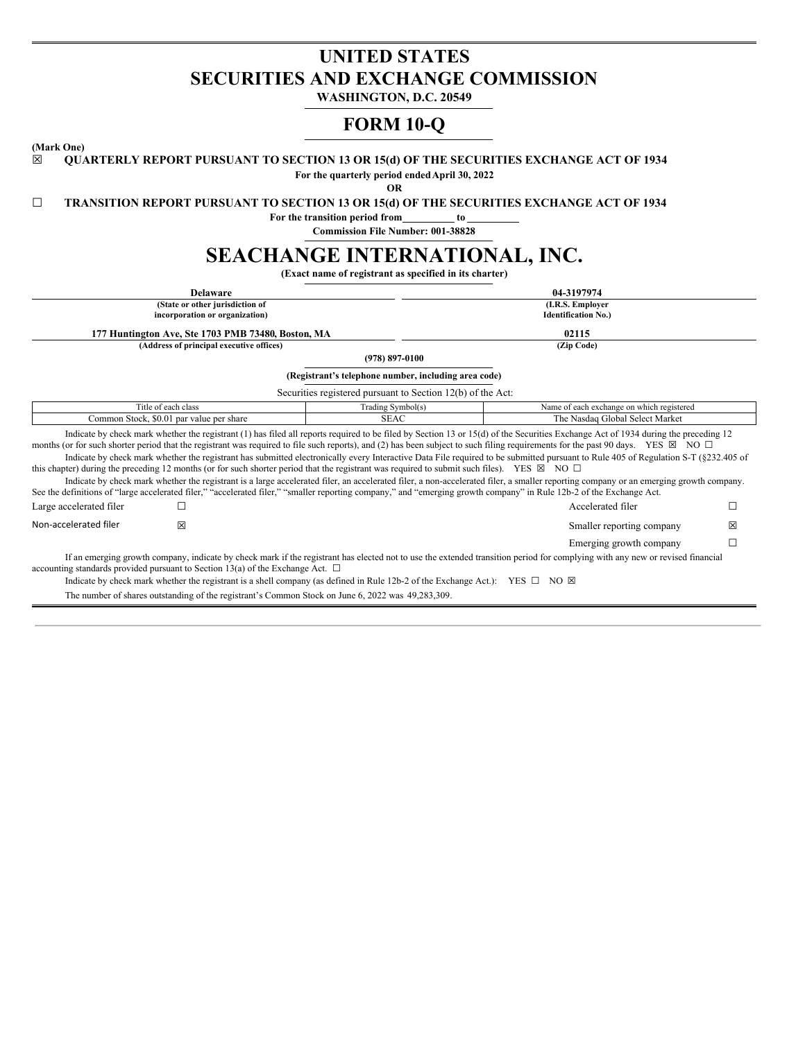# **UNITED STATES SECURITIES AND EXCHANGE COMMISSION**

**WASHINGTON, D.C. 20549**

## **FORM 10-Q**

**(Mark One)**

☒ **QUARTERLY REPORT PURSUANT TO SECTION 13 OR 15(d) OF THE SECURITIES EXCHANGE ACT OF 1934**

**For the quarterly period endedApril 30, 2022**

**OR**

☐ **TRANSITION REPORT PURSUANT TO SECTION 13 OR 15(d) OF THE SECURITIES EXCHANGE ACT OF 1934**

**For the transition period from to**

**Commission File Number: 001-38828**

# **SEACHANGE INTERNATIONAL, INC.**

**(Exact name of registrant as specified in its charter)**

| 04-3197974<br><b>Delaware</b>            |                                                                                                                                                            |                                                             |  |                                                                                                                                                                                                                                                                                                                                                                                       |   |  |  |  |
|------------------------------------------|------------------------------------------------------------------------------------------------------------------------------------------------------------|-------------------------------------------------------------|--|---------------------------------------------------------------------------------------------------------------------------------------------------------------------------------------------------------------------------------------------------------------------------------------------------------------------------------------------------------------------------------------|---|--|--|--|
|                                          | (State or other jurisdiction of                                                                                                                            |                                                             |  | (I.R.S. Employer                                                                                                                                                                                                                                                                                                                                                                      |   |  |  |  |
|                                          | incorporation or organization)                                                                                                                             |                                                             |  | <b>Identification No.)</b>                                                                                                                                                                                                                                                                                                                                                            |   |  |  |  |
|                                          | 177 Huntington Ave, Ste 1703 PMB 73480, Boston, MA                                                                                                         |                                                             |  | 02115                                                                                                                                                                                                                                                                                                                                                                                 |   |  |  |  |
|                                          | (Address of principal executive offices)                                                                                                                   |                                                             |  | (Zip Code)                                                                                                                                                                                                                                                                                                                                                                            |   |  |  |  |
|                                          |                                                                                                                                                            | $(978) 897 - 0100$                                          |  |                                                                                                                                                                                                                                                                                                                                                                                       |   |  |  |  |
|                                          |                                                                                                                                                            | (Registrant's telephone number, including area code)        |  |                                                                                                                                                                                                                                                                                                                                                                                       |   |  |  |  |
|                                          |                                                                                                                                                            | Securities registered pursuant to Section 12(b) of the Act: |  |                                                                                                                                                                                                                                                                                                                                                                                       |   |  |  |  |
| Title of each class<br>Trading Symbol(s) |                                                                                                                                                            |                                                             |  | Name of each exchange on which registered                                                                                                                                                                                                                                                                                                                                             |   |  |  |  |
|                                          | Common Stock, \$0.01 par value per share<br>SEAC<br>The Nasdaq Global Select Market                                                                        |                                                             |  |                                                                                                                                                                                                                                                                                                                                                                                       |   |  |  |  |
|                                          |                                                                                                                                                            |                                                             |  | Indicate by check mark whether the registrant (1) has filed all reports required to be filed by Section 13 or 15(d) of the Securities Exchange Act of 1934 during the preceding 12<br>months (or for such shorter period that the registrant was required to file such reports), and (2) has been subject to such filing requirements for the past 90 days. YES $\boxtimes$ NO $\Box$ |   |  |  |  |
|                                          | this chapter) during the preceding 12 months (or for such shorter period that the registrant was required to submit such files). YES $\boxtimes$ NO $\Box$ |                                                             |  | Indicate by check mark whether the registrant has submitted electronically every Interactive Data File required to be submitted pursuant to Rule 405 of Regulation S-T (§232.405 of                                                                                                                                                                                                   |   |  |  |  |
|                                          |                                                                                                                                                            |                                                             |  | Indicate by check mark whether the registrant is a large accelerated filer, an accelerated filer, a non-accelerated filer, a smaller reporting company or an emerging growth company.<br>See the definitions of "large accelerated filer," "accelerated filer," "smaller reporting company," and "emerging growth company" in Rule 12b-2 of the Exchange Act.                         |   |  |  |  |
| Large accelerated filer                  |                                                                                                                                                            |                                                             |  | Accelerated filer                                                                                                                                                                                                                                                                                                                                                                     |   |  |  |  |
| Non-accelerated filer                    | 冈                                                                                                                                                          |                                                             |  | Smaller reporting company                                                                                                                                                                                                                                                                                                                                                             | ⊠ |  |  |  |
|                                          |                                                                                                                                                            |                                                             |  | Emerging growth company                                                                                                                                                                                                                                                                                                                                                               |   |  |  |  |
|                                          | accounting standards provided pursuant to Section 13(a) of the Exchange Act. $\Box$                                                                        |                                                             |  | If an emerging growth company, indicate by check mark if the registrant has elected not to use the extended transition period for complying with any new or revised financial                                                                                                                                                                                                         |   |  |  |  |

Indicate by check mark whether the registrant is a shell company (as defined in Rule 12b-2 of the Exchange Act.): YES  $\Box$  NO  $\boxtimes$ 

The number of shares outstanding of the registrant's Common Stock on June 6, 2022 was 49,283,309.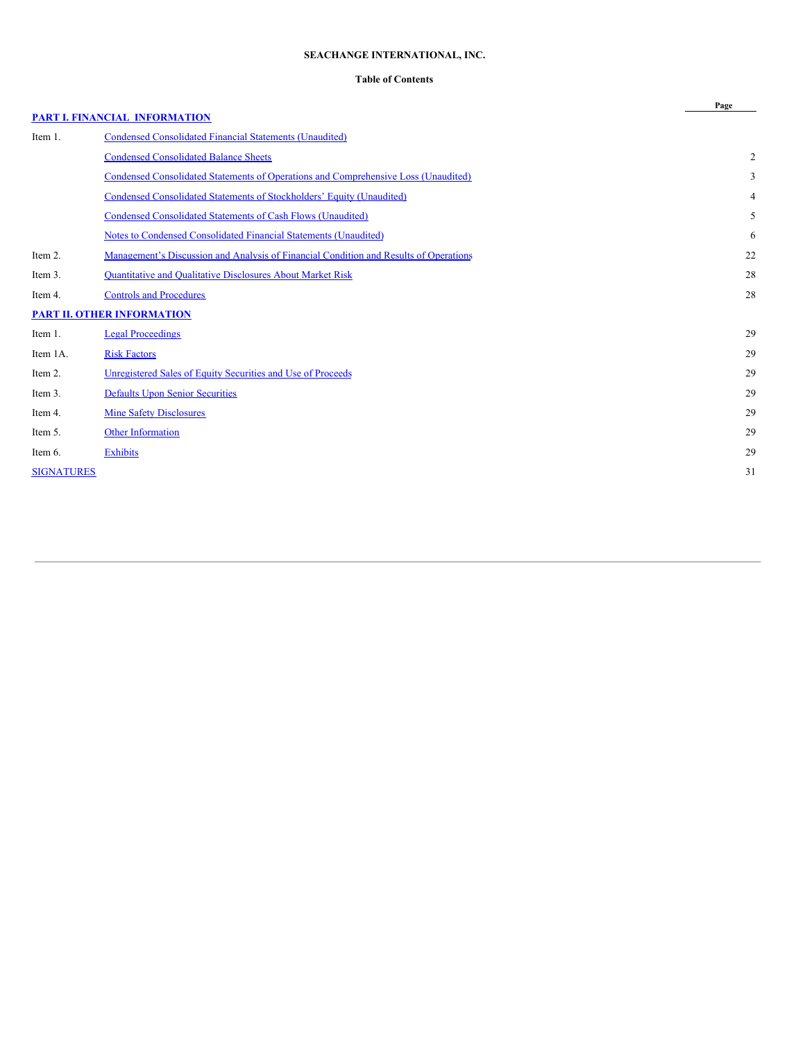### **SEACHANGE INTERNATIONAL, INC.**

### **Table of Contents**

|                   |                                                                                           | Page |
|-------------------|-------------------------------------------------------------------------------------------|------|
|                   | <b>PART I. FINANCIAL INFORMATION</b>                                                      |      |
| Item 1.           | <b>Condensed Consolidated Financial Statements (Unaudited)</b>                            |      |
|                   | <b>Condensed Consolidated Balance Sheets</b>                                              | 2    |
|                   | <b>Condensed Consolidated Statements of Operations and Comprehensive Loss (Unaudited)</b> | 3    |
|                   | <b>Condensed Consolidated Statements of Stockholders' Equity (Unaudited)</b>              | 4    |
|                   | Condensed Consolidated Statements of Cash Flows (Unaudited)                               | 5    |
|                   | Notes to Condensed Consolidated Financial Statements (Unaudited)                          | 6    |
| Item 2.           | Management's Discussion and Analysis of Financial Condition and Results of Operations     | 22   |
| Item 3.           | <b>Quantitative and Qualitative Disclosures About Market Risk</b>                         | 28   |
| Item 4.           | <b>Controls and Procedures</b>                                                            | 28   |
|                   | <b>PART II. OTHER INFORMATION</b>                                                         |      |
| Item 1.           | <b>Legal Proceedings</b>                                                                  | 29   |
| Item 1A.          | <b>Risk Factors</b>                                                                       | 29   |
| Item 2.           | Unregistered Sales of Equity Securities and Use of Proceeds                               | 29   |
| Item 3.           | <b>Defaults Upon Senior Securities</b>                                                    | 29   |
| Item 4.           | <b>Mine Safety Disclosures</b>                                                            | 29   |
| Item 5.           | <b>Other Information</b>                                                                  | 29   |
| Item 6.           | <b>Exhibits</b>                                                                           | 29   |
| <b>SIGNATURES</b> |                                                                                           | 31   |
|                   |                                                                                           |      |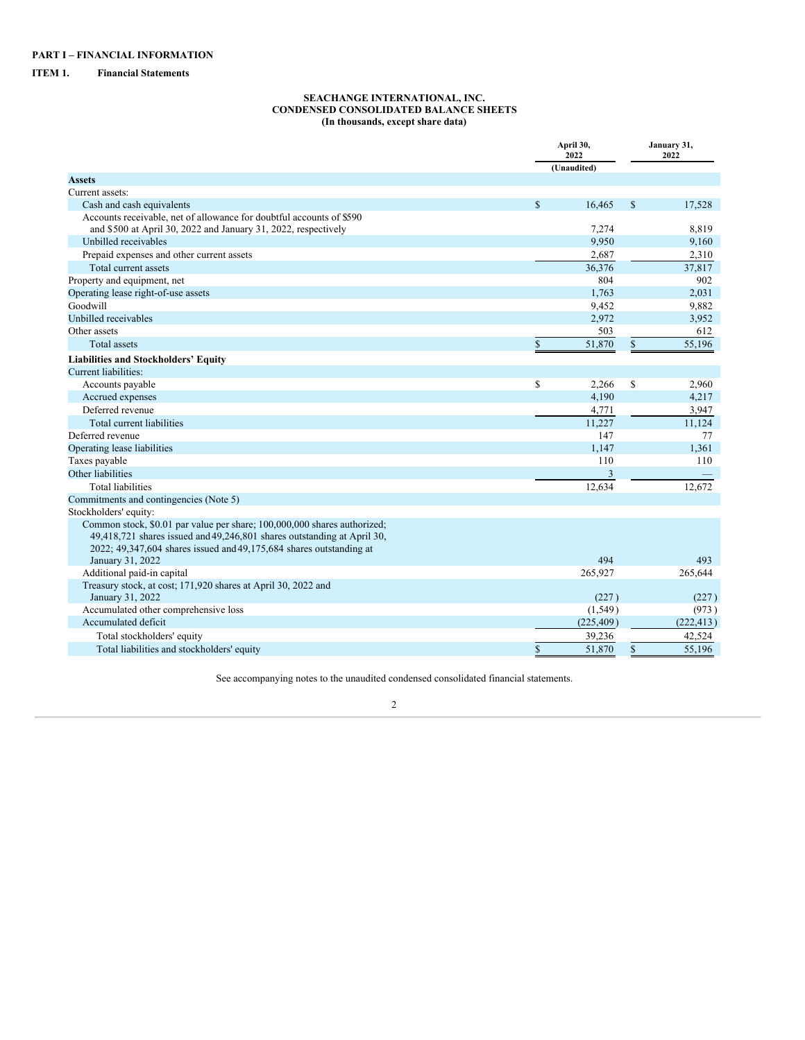## <span id="page-2-2"></span><span id="page-2-1"></span><span id="page-2-0"></span>**ITEM 1. Financial Statements**

### **SEACHANGE INTERNATIONAL, INC. CONDENSED CONSOLIDATED BALANCE SHEETS (In thousands, except share data)**

|                                                                                                                                                                                                                            |              | April 30,<br>2022<br>(Unaudited) |              | January 31,<br>2022 |
|----------------------------------------------------------------------------------------------------------------------------------------------------------------------------------------------------------------------------|--------------|----------------------------------|--------------|---------------------|
| <b>Assets</b>                                                                                                                                                                                                              |              |                                  |              |                     |
| Current assets:                                                                                                                                                                                                            |              |                                  |              |                     |
| Cash and cash equivalents                                                                                                                                                                                                  | $\mathbb{S}$ | 16,465                           | $\mathbb{S}$ | 17,528              |
| Accounts receivable, net of allowance for doubtful accounts of \$590                                                                                                                                                       |              |                                  |              |                     |
| and \$500 at April 30, 2022 and January 31, 2022, respectively                                                                                                                                                             |              | 7,274                            |              | 8,819               |
| Unbilled receivables                                                                                                                                                                                                       |              | 9,950                            |              | 9,160               |
| Prepaid expenses and other current assets                                                                                                                                                                                  |              | 2,687                            |              | 2,310               |
| Total current assets                                                                                                                                                                                                       |              | 36,376                           |              | 37,817              |
| Property and equipment, net                                                                                                                                                                                                |              | 804                              |              | 902                 |
| Operating lease right-of-use assets                                                                                                                                                                                        |              | 1,763                            |              | 2,031               |
| Goodwill                                                                                                                                                                                                                   |              | 9,452                            |              | 9,882               |
| Unbilled receivables                                                                                                                                                                                                       |              | 2,972                            |              | 3,952               |
| Other assets                                                                                                                                                                                                               |              | 503                              |              | 612                 |
| <b>Total</b> assets                                                                                                                                                                                                        | \$           | 51,870                           | $\mathbb{S}$ | 55,196              |
| <b>Liabilities and Stockholders' Equity</b>                                                                                                                                                                                |              |                                  |              |                     |
| Current liabilities:                                                                                                                                                                                                       |              |                                  |              |                     |
| Accounts payable                                                                                                                                                                                                           | \$           | 2,266                            | \$           | 2,960               |
| Accrued expenses                                                                                                                                                                                                           |              | 4,190                            |              | 4,217               |
| Deferred revenue                                                                                                                                                                                                           |              | 4,771                            |              | 3,947               |
| Total current liabilities                                                                                                                                                                                                  |              | 11,227                           |              | 11,124              |
| Deferred revenue                                                                                                                                                                                                           |              | 147                              |              | 77                  |
| Operating lease liabilities                                                                                                                                                                                                |              | 1,147                            |              | 1,361               |
| Taxes payable                                                                                                                                                                                                              |              | 110                              |              | 110                 |
| Other liabilities                                                                                                                                                                                                          |              | 3                                |              |                     |
| Total liabilities                                                                                                                                                                                                          |              | 12,634                           |              | 12.672              |
| Commitments and contingencies (Note 5)                                                                                                                                                                                     |              |                                  |              |                     |
| Stockholders' equity:                                                                                                                                                                                                      |              |                                  |              |                     |
| Common stock, \$0.01 par value per share; 100,000,000 shares authorized;<br>49,418,721 shares issued and 49,246,801 shares outstanding at April 30,<br>2022; 49,347,604 shares issued and 49,175,684 shares outstanding at |              |                                  |              |                     |
| January 31, 2022                                                                                                                                                                                                           |              | 494                              |              | 493                 |
| Additional paid-in capital                                                                                                                                                                                                 |              | 265,927                          |              | 265,644             |
| Treasury stock, at cost; 171,920 shares at April 30, 2022 and                                                                                                                                                              |              |                                  |              |                     |
| January 31, 2022                                                                                                                                                                                                           |              | (227)                            |              | (227)               |
| Accumulated other comprehensive loss                                                                                                                                                                                       |              | (1, 549)                         |              | (973)               |
| Accumulated deficit                                                                                                                                                                                                        |              | (225, 409)                       |              | (222, 413)          |
| Total stockholders' equity                                                                                                                                                                                                 |              | 39,236                           |              | 42,524              |
| Total liabilities and stockholders' equity                                                                                                                                                                                 | \$           | 51,870                           | $\mathbb{S}$ | 55,196              |

See accompanying notes to the unaudited condensed consolidated financial statements.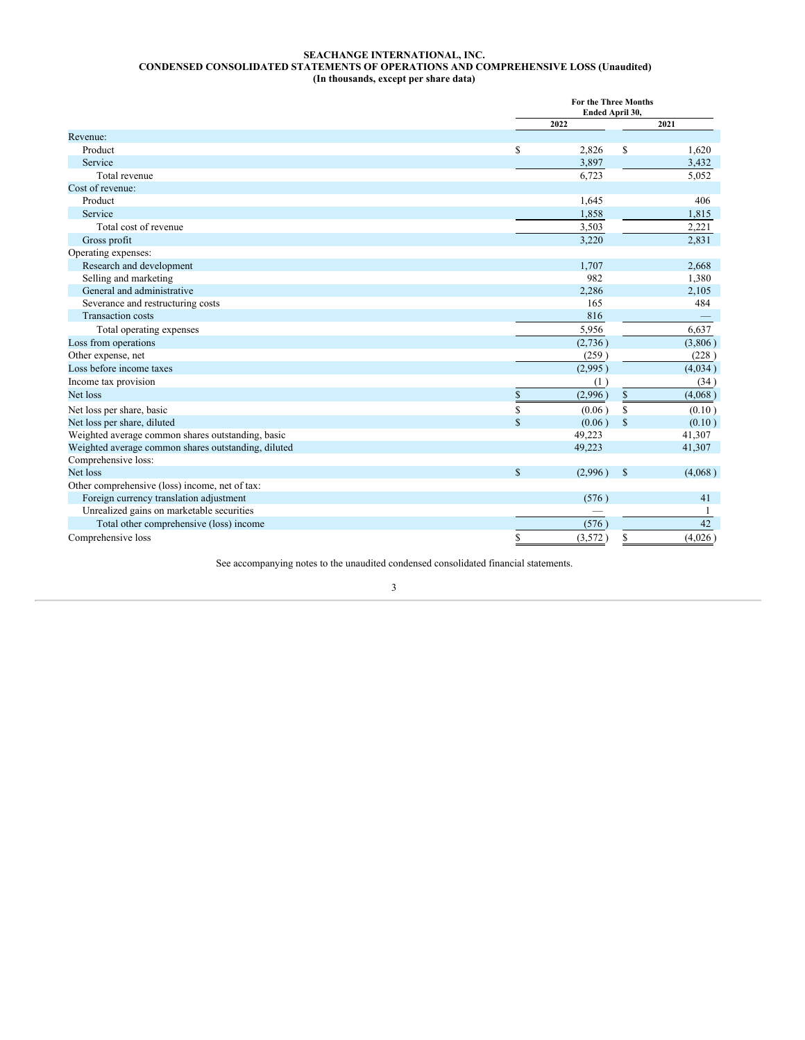### **SEACHANGE INTERNATIONAL, INC. CONDENSED CONSOLIDATED STATEMENTS OF OPERATIONS AND COMPREHENSIVE LOSS (Unaudited) (In thousands, except per share data)**

<span id="page-3-0"></span>

|                                                     |                    | <b>For the Three Months</b><br>Ended April 30, |                                                                       |         |  |  |
|-----------------------------------------------------|--------------------|------------------------------------------------|-----------------------------------------------------------------------|---------|--|--|
|                                                     |                    | 2022                                           |                                                                       | 2021    |  |  |
| Revenue:                                            |                    |                                                |                                                                       |         |  |  |
| Product                                             | <sup>\$</sup>      | 2,826                                          | S                                                                     | 1,620   |  |  |
| Service                                             |                    | 3,897                                          |                                                                       | 3,432   |  |  |
| Total revenue                                       |                    | 6,723                                          |                                                                       | 5,052   |  |  |
| Cost of revenue:                                    |                    |                                                |                                                                       |         |  |  |
| Product                                             |                    | 1,645                                          |                                                                       | 406     |  |  |
| Service                                             |                    | 1,858                                          |                                                                       | 1,815   |  |  |
| Total cost of revenue                               |                    | 3,503                                          |                                                                       | 2,221   |  |  |
| Gross profit                                        |                    | 3,220                                          |                                                                       | 2,831   |  |  |
| Operating expenses:                                 |                    |                                                |                                                                       |         |  |  |
| Research and development                            |                    | 1,707                                          |                                                                       | 2,668   |  |  |
| Selling and marketing                               |                    | 982                                            |                                                                       | 1,380   |  |  |
| General and administrative                          |                    | 2,286                                          |                                                                       | 2,105   |  |  |
| Severance and restructuring costs                   |                    | 165                                            |                                                                       | 484     |  |  |
| <b>Transaction</b> costs                            |                    | 816                                            |                                                                       |         |  |  |
| Total operating expenses                            |                    | 5,956                                          |                                                                       | 6,637   |  |  |
| Loss from operations                                |                    | (2,736)                                        |                                                                       | (3,806) |  |  |
| Other expense, net                                  |                    | (259)                                          |                                                                       | (228)   |  |  |
| Loss before income taxes                            |                    | (2,995)                                        |                                                                       | (4,034) |  |  |
| Income tax provision                                |                    | (1)                                            |                                                                       | (34)    |  |  |
| Net loss                                            | \$                 | (2,996)                                        | $\mathbb{S}% _{t}\left( t\right) \equiv\mathbb{S}_{t}\left( t\right)$ | (4,068) |  |  |
| Net loss per share, basic                           | \$                 | (0.06)                                         | $\mathbf S$                                                           | (0.10)  |  |  |
| Net loss per share, diluted                         | $\mathbf S$        | (0.06)                                         | <sup>\$</sup>                                                         | (0.10)  |  |  |
| Weighted average common shares outstanding, basic   |                    | 49,223                                         |                                                                       | 41,307  |  |  |
| Weighted average common shares outstanding, diluted |                    | 49,223                                         |                                                                       | 41,307  |  |  |
| Comprehensive loss:                                 |                    |                                                |                                                                       |         |  |  |
| Net loss                                            | $\mathbf{\hat{S}}$ | (2,996)                                        | $\mathcal{S}$                                                         | (4,068) |  |  |
| Other comprehensive (loss) income, net of tax:      |                    |                                                |                                                                       |         |  |  |
| Foreign currency translation adjustment             |                    | (576)                                          |                                                                       | 41      |  |  |
| Unrealized gains on marketable securities           |                    |                                                |                                                                       |         |  |  |
| Total other comprehensive (loss) income             |                    | (576)                                          |                                                                       | 42      |  |  |
| Comprehensive loss                                  | \$                 | (3,572)                                        | \$                                                                    | (4,026) |  |  |

See accompanying notes to the unaudited condensed consolidated financial statements.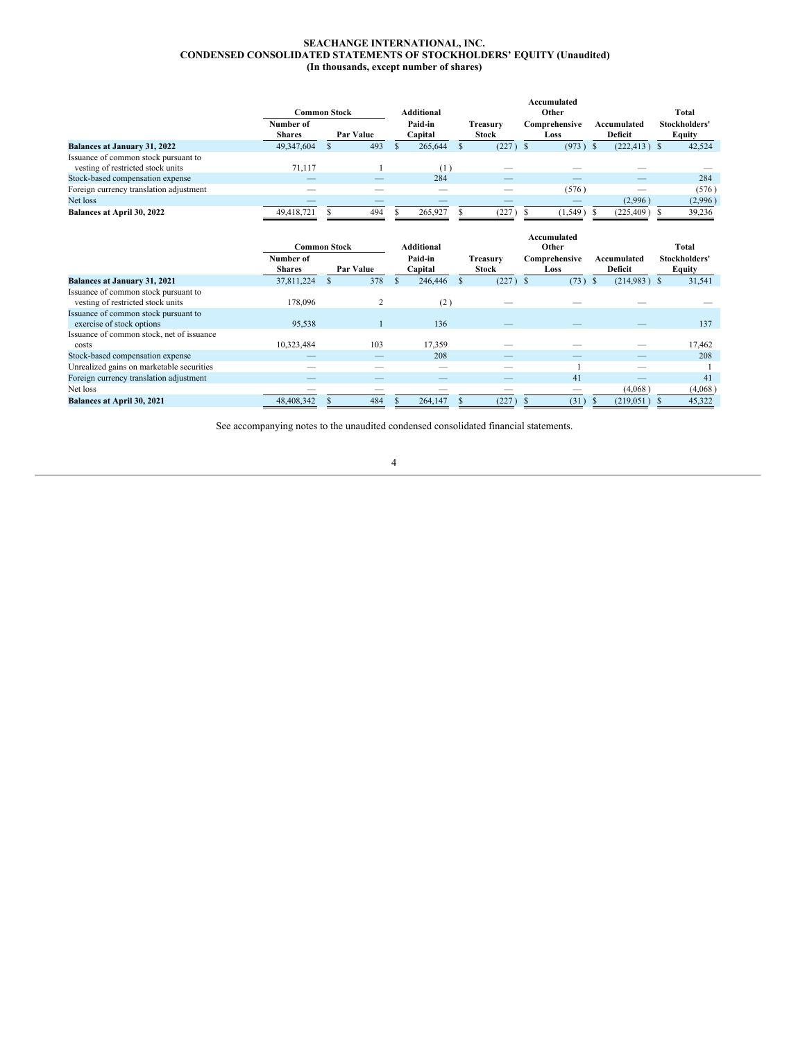### **SEACHANGE INTERNATIONAL, INC. CONDENSED CONSOLIDATED STATEMENTS OF STOCKHOLDERS' EQUITY (Unaudited) (In thousands, except number of shares)**

<span id="page-4-0"></span>

|                                                                           | Common Stock               |           | <b>Additional</b>  |                          | Accumulated<br>Other  |                        | <b>Total</b>            |
|---------------------------------------------------------------------------|----------------------------|-----------|--------------------|--------------------------|-----------------------|------------------------|-------------------------|
|                                                                           | Number of<br><b>Shares</b> | Par Value | Paid-in<br>Capital | Treasury<br><b>Stock</b> | Comprehensive<br>Loss | Accumulated<br>Deficit | Stockholders'<br>Equity |
| <b>Balances at January 31, 2022</b>                                       | 49,347,604                 | 493       | 265,644            | $(227)$ \$               | (973)                 | $(222, 413)$ \$        | 42,524                  |
| Issuance of common stock pursuant to<br>vesting of restricted stock units | 71.117                     |           | 11                 |                          |                       |                        |                         |
| Stock-based compensation expense                                          |                            |           | 284                | __                       |                       |                        | 284                     |
| Foreign currency translation adjustment                                   |                            |           |                    |                          | (576)                 |                        | (576)                   |
| Net loss                                                                  |                            |           |                    |                          |                       | (2,996)                | (2,996)                 |
| Balances at April 30, 2022                                                | 49.418.721                 | 494       | 265,927            | 227                      | $1.549$ )             | $(225, 409)$ \$        | 39.236                  |

|                                                                           |                            | <b>Common Stock</b> | <b>Additional</b>  |                          | Accumulated<br>Other  |                               | Total                   |
|---------------------------------------------------------------------------|----------------------------|---------------------|--------------------|--------------------------|-----------------------|-------------------------------|-------------------------|
|                                                                           | Number of<br><b>Shares</b> | Par Value           | Paid-in<br>Capital | Treasury<br><b>Stock</b> | Comprehensive<br>Loss | Accumulated<br><b>Deficit</b> | Stockholders'<br>Equity |
| <b>Balances at January 31, 2021</b>                                       | 37,811,224                 | 378                 | 246,446            | $(227)$ \$               | (73)                  | $(214,983)$ \$<br>-S          | 31,541                  |
| Issuance of common stock pursuant to<br>vesting of restricted stock units | 178,096                    |                     | (2)                |                          |                       |                               |                         |
| Issuance of common stock pursuant to<br>exercise of stock options         | 95,538                     |                     | 136                |                          |                       |                               | 137                     |
| Issuance of common stock, net of issuance<br>costs                        | 10,323,484                 | 103                 | 17,359             |                          |                       |                               | 17,462                  |
| Stock-based compensation expense                                          |                            |                     | 208                |                          |                       |                               | 208                     |
| Unrealized gains on marketable securities                                 |                            |                     |                    |                          |                       |                               |                         |
| Foreign currency translation adjustment                                   |                            |                     |                    |                          | 41                    |                               | 41                      |
| Net loss                                                                  |                            |                     |                    |                          | _                     | (4,068)                       | (4,068)                 |
| Balances at April 30, 2021                                                | 48,408,342                 | 484                 | 264,147            | (227)                    | (31)                  | (219, 051)                    | 45,322                  |

See accompanying notes to the unaudited condensed consolidated financial statements.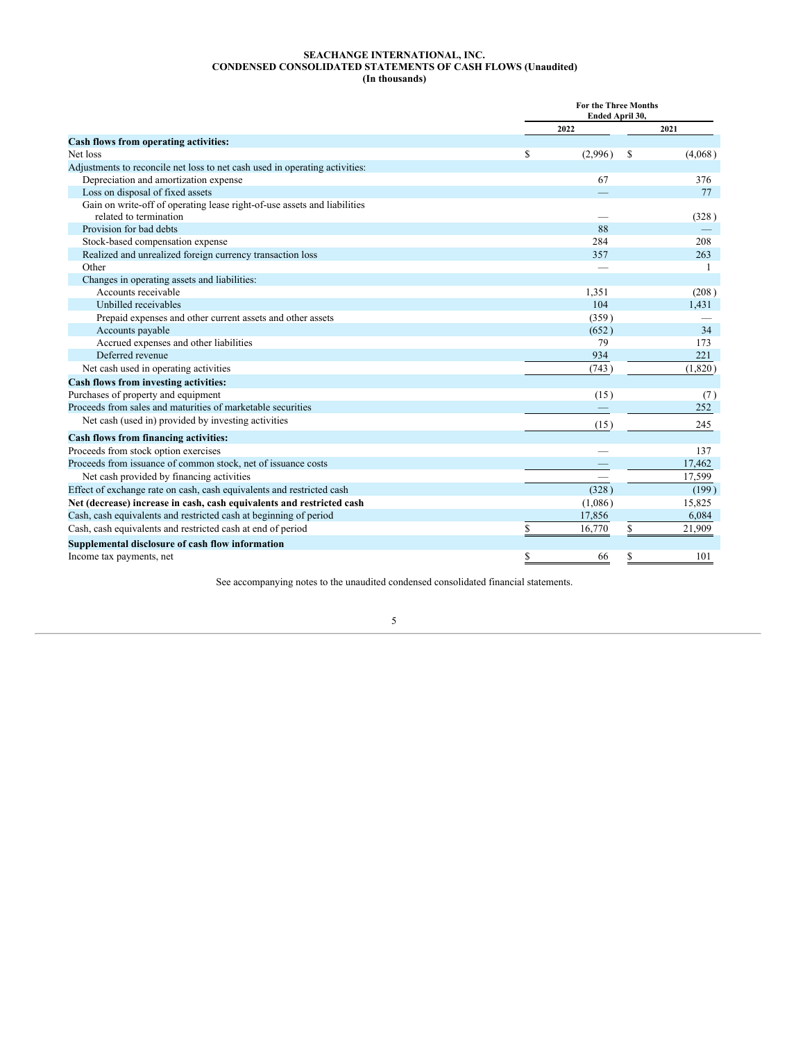### **SEACHANGE INTERNATIONAL, INC. CONDENSED CONSOLIDATED STATEMENTS OF CASH FLOWS (Unaudited) (In thousands)**

<span id="page-5-0"></span>

|                                                                                                    |      | <b>For the Three Months</b><br>Ended April 30, |    |              |
|----------------------------------------------------------------------------------------------------|------|------------------------------------------------|----|--------------|
|                                                                                                    | 2022 |                                                |    | 2021         |
| Cash flows from operating activities:                                                              |      |                                                |    |              |
| Net loss                                                                                           | \$   | (2,996)                                        | S  | (4,068)      |
| Adjustments to reconcile net loss to net cash used in operating activities:                        |      |                                                |    |              |
| Depreciation and amortization expense                                                              |      | 67                                             |    | 376          |
| Loss on disposal of fixed assets                                                                   |      |                                                |    | 77           |
| Gain on write-off of operating lease right-of-use assets and liabilities<br>related to termination |      |                                                |    | (328)        |
| Provision for bad debts                                                                            |      | 88                                             |    |              |
| Stock-based compensation expense                                                                   |      | 284                                            |    | 208          |
| Realized and unrealized foreign currency transaction loss                                          |      | 357                                            |    | 263          |
| Other                                                                                              |      |                                                |    | $\mathbf{1}$ |
| Changes in operating assets and liabilities:                                                       |      |                                                |    |              |
| Accounts receivable                                                                                |      | 1,351                                          |    | (208)        |
| Unbilled receivables                                                                               |      | 104                                            |    | 1,431        |
| Prepaid expenses and other current assets and other assets                                         |      | (359)                                          |    |              |
| Accounts payable                                                                                   |      | (652)                                          |    | 34           |
| Accrued expenses and other liabilities                                                             |      | 79                                             |    | 173          |
| Deferred revenue                                                                                   |      | 934                                            |    | 221          |
| Net cash used in operating activities                                                              |      | (743)                                          |    | (1,820)      |
| Cash flows from investing activities:                                                              |      |                                                |    |              |
| Purchases of property and equipment                                                                |      | (15)                                           |    | (7)          |
| Proceeds from sales and maturities of marketable securities                                        |      |                                                |    | 252          |
| Net cash (used in) provided by investing activities                                                |      | (15)                                           |    | 245          |
| Cash flows from financing activities:                                                              |      |                                                |    |              |
| Proceeds from stock option exercises                                                               |      |                                                |    | 137          |
| Proceeds from issuance of common stock, net of issuance costs                                      |      |                                                |    | 17,462       |
| Net cash provided by financing activities                                                          |      |                                                |    | 17,599       |
| Effect of exchange rate on cash, cash equivalents and restricted cash                              |      | (328)                                          |    | (199)        |
| Net (decrease) increase in cash, cash equivalents and restricted cash                              |      | (1,086)                                        |    | 15,825       |
| Cash, cash equivalents and restricted cash at beginning of period                                  |      | 17,856                                         |    | 6,084        |
| Cash, cash equivalents and restricted cash at end of period                                        |      | 16.770                                         | \$ | 21,909       |
| Supplemental disclosure of cash flow information                                                   |      |                                                |    |              |
| Income tax payments, net                                                                           |      | 66                                             |    | 101          |
|                                                                                                    |      |                                                |    |              |

See accompanying notes to the unaudited condensed consolidated financial statements.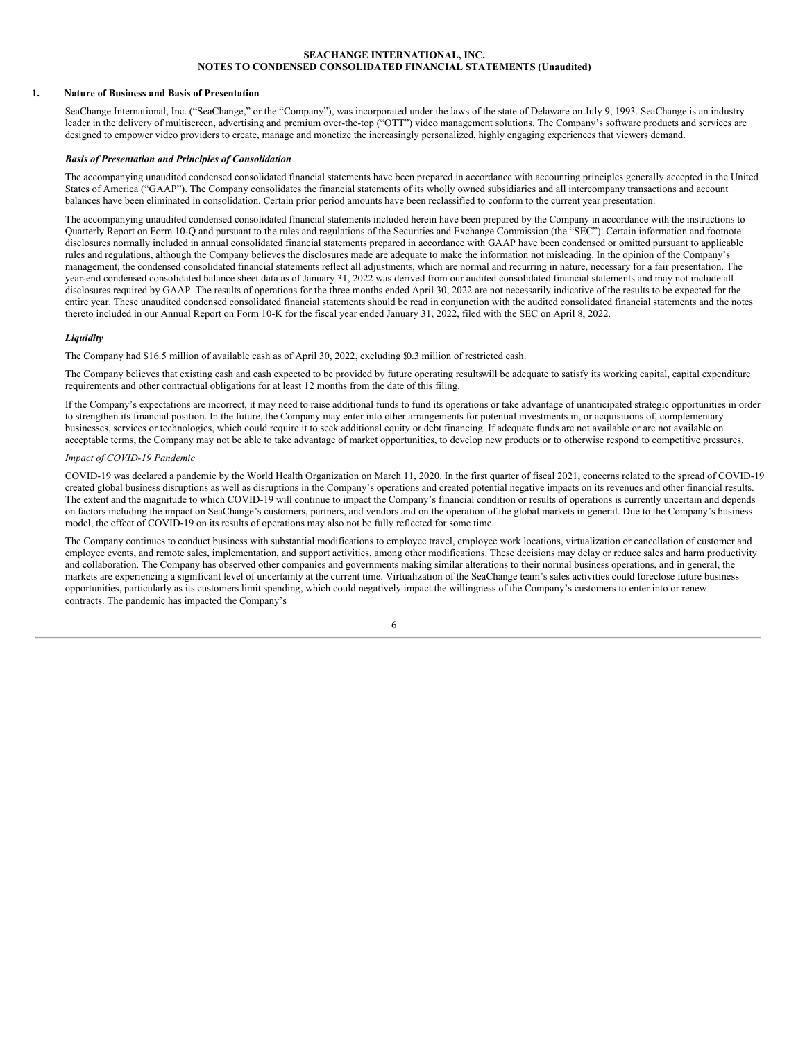### **SEACHANGE INTERNATIONAL, INC. NOTES TO CONDENSED CONSOLIDATED FINANCIAL STATEMENTS (Unaudited)**

### <span id="page-6-0"></span>**1. Nature of Business and Basis of Presentation**

SeaChange International, Inc. ("SeaChange," or the "Company"), was incorporated under the laws of the state of Delaware on July 9, 1993. SeaChange is an industry leader in the delivery of multiscreen, advertising and premium over-the-top ("OTT") video management solutions. The Company's software products and services are designed to empower video providers to create, manage and monetize the increasingly personalized, highly engaging experiences that viewers demand.

### *Basis of Presentation and Principles of Consolidation*

The accompanying unaudited condensed consolidated financial statements have been prepared in accordance with accounting principles generally accepted in the United States of America ("GAAP"). The Company consolidates the financial statements of its wholly owned subsidiaries and all intercompany transactions and account balances have been eliminated in consolidation. Certain prior period amounts have been reclassified to conform to the current year presentation.

The accompanying unaudited condensed consolidated financial statements included herein have been prepared by the Company in accordance with the instructions to Quarterly Report on Form 10-Q and pursuant to the rules and regulations of the Securities and Exchange Commission (the "SEC"). Certain information and footnote disclosures normally included in annual consolidated financial statements prepared in accordance with GAAP have been condensed or omitted pursuant to applicable rules and regulations, although the Company believes the disclosures made are adequate to make the information not misleading. In the opinion of the Company's management, the condensed consolidated financial statements reflect all adjustments, which are normal and recurring in nature, necessary for a fair presentation. The year-end condensed consolidated balance sheet data as of January 31, 2022 was derived from our audited consolidated financial statements and may not include all disclosures required by GAAP. The results of operations for the three months ended April 30, 2022 are not necessarily indicative of the results to be expected for the entire year. These unaudited condensed consolidated financial statements should be read in conjunction with the audited consolidated financial statements and the notes thereto included in our Annual Report on Form 10-K for the fiscal year ended January 31, 2022, filed with the SEC on April 8, 2022.

### *Liquidity*

The Company had \$16.5 million of available cash as of April 30, 2022, excluding \$0.3 million of restricted cash.

The Company believes that existing cash and cash expected to be provided by future operating resultswill be adequate to satisfy its working capital, capital expenditure requirements and other contractual obligations for at least 12 months from the date of this filing.

If the Company's expectations are incorrect, it may need to raise additional funds to fund its operations or take advantage of unanticipated strategic opportunities in order to strengthen its financial position. In the future, the Company may enter into other arrangements for potential investments in, or acquisitions of, complementary businesses, services or technologies, which could require it to seek additional equity or debt financing. If adequate funds are not available or are not available on acceptable terms, the Company may not be able to take advantage of market opportunities, to develop new products or to otherwise respond to competitive pressures.

### *Impact of COVID-19 Pandemic*

COVID-19 was declared a pandemic by the World Health Organization on March 11, 2020. In the first quarter of fiscal 2021, concerns related to the spread of COVID-19 created global business disruptions as well as disruptions in the Company's operations and created potential negative impacts on its revenues and other financial results. The extent and the magnitude to which COVID-19 will continue to impact the Company's financial condition or results of operations is currently uncertain and depends on factors including the impact on SeaChange's customers, partners, and vendors and on the operation of the global markets in general. Due to the Company's business model, the effect of COVID-19 on its results of operations may also not be fully reflected for some time.

The Company continues to conduct business with substantial modifications to employee travel, employee work locations, virtualization or cancellation of customer and employee events, and remote sales, implementation, and support activities, among other modifications. These decisions may delay or reduce sales and harm productivity and collaboration. The Company has observed other companies and governments making similar alterations to their normal business operations, and in general, the markets are experiencing a significant level of uncertainty at the current time. Virtualization of the SeaChange team's sales activities could foreclose future business opportunities, particularly as its customers limit spending, which could negatively impact the willingness of the Company's customers to enter into or renew contracts. The pandemic has impacted the Company's

|  | ۰, | ۰,<br>٦ |  |
|--|----|---------|--|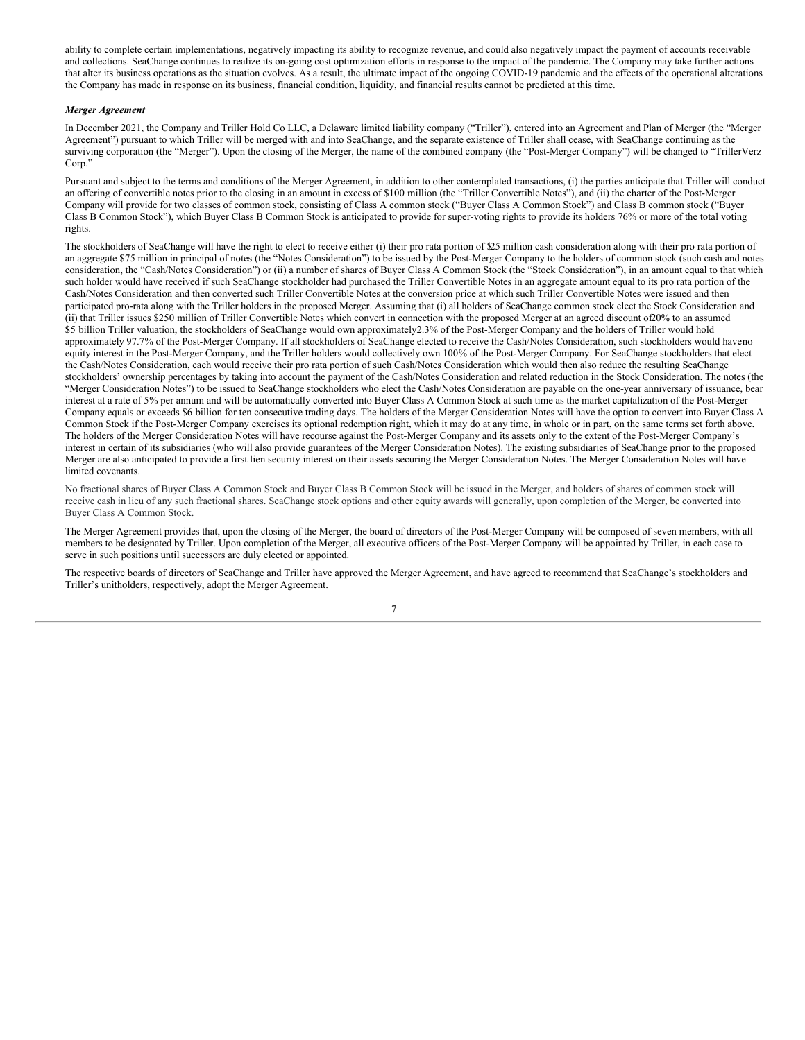ability to complete certain implementations, negatively impacting its ability to recognize revenue, and could also negatively impact the payment of accounts receivable and collections. SeaChange continues to realize its on-going cost optimization efforts in response to the impact of the pandemic. The Company may take further actions that alter its business operations as the situation evolves. As a result, the ultimate impact of the ongoing COVID-19 pandemic and the effects of the operational alterations the Company has made in response on its business, financial condition, liquidity, and financial results cannot be predicted at this time.

### *Merger Agreement*

In December 2021, the Company and Triller Hold Co LLC, a Delaware limited liability company ("Triller"), entered into an Agreement and Plan of Merger (the "Merger Agreement") pursuant to which Triller will be merged with and into SeaChange, and the separate existence of Triller shall cease, with SeaChange continuing as the surviving corporation (the "Merger"). Upon the closing of the Merger, the name of the combined company (the "Post-Merger Company") will be changed to "TrillerVerz Corp."

Pursuant and subject to the terms and conditions of the Merger Agreement, in addition to other contemplated transactions, (i) the parties anticipate that Triller will conduct an offering of convertible notes prior to the closing in an amount in excess of \$100 million (the "Triller Convertible Notes"), and (ii) the charter of the Post-Merger Company will provide for two classes of common stock, consisting of Class A common stock ("Buyer Class A Common Stock") and Class B common stock ("Buyer Class B Common Stock"), which Buyer Class B Common Stock is anticipated to provide for super-voting rights to provide its holders 76% or more of the total voting rights.

The stockholders of SeaChange will have the right to elect to receive either (i) their pro rata portion of  $\mathfrak{D}5$  million cash consideration along with their pro rata portion of an aggregate \$75 million in principal of notes (the "Notes Consideration") to be issued by the Post-Merger Company to the holders of common stock (such cash and notes consideration, the "Cash/Notes Consideration") or (ii) a number of shares of Buyer Class A Common Stock (the "Stock Consideration"), in an amount equal to that which such holder would have received if such SeaChange stockholder had purchased the Triller Convertible Notes in an aggregate amount equal to its pro rata portion of the Cash/Notes Consideration and then converted such Triller Convertible Notes at the conversion price at which such Triller Convertible Notes were issued and then participated pro-rata along with the Triller holders in the proposed Merger. Assuming that (i) all holders of SeaChange common stock elect the Stock Consideration and (ii) that Triller issues \$250 million of Triller Convertible Notes which convert in connection with the proposed Merger at an agreed discount of20% to an assumed \$5 billion Triller valuation, the stockholders of SeaChange would own approximately2.3% of the Post-Merger Company and the holders of Triller would hold approximately 97.7% of the Post-Merger Company. If all stockholders of SeaChange elected to receive the Cash/Notes Consideration, such stockholders would haveno equity interest in the Post-Merger Company, and the Triller holders would collectively own 100% of the Post-Merger Company. For SeaChange stockholders that elect the Cash/Notes Consideration, each would receive their pro rata portion of such Cash/Notes Consideration which would then also reduce the resulting SeaChange stockholders' ownership percentages by taking into account the payment of the Cash/Notes Consideration and related reduction in the Stock Consideration. The notes (the "Merger Consideration Notes") to be issued to SeaChange stockholders who elect the Cash/Notes Consideration are payable on the one-year anniversary of issuance, bear interest at a rate of 5% per annum and will be automatically converted into Buyer Class A Common Stock at such time as the market capitalization of the Post-Merger Company equals or exceeds \$6 billion for ten consecutive trading days. The holders of the Merger Consideration Notes will have the option to convert into Buyer Class A Common Stock if the Post-Merger Company exercises its optional redemption right, which it may do at any time, in whole or in part, on the same terms set forth above. The holders of the Merger Consideration Notes will have recourse against the Post-Merger Company and its assets only to the extent of the Post-Merger Company's interest in certain of its subsidiaries (who will also provide guarantees of the Merger Consideration Notes). The existing subsidiaries of SeaChange prior to the proposed Merger are also anticipated to provide a first lien security interest on their assets securing the Merger Consideration Notes. The Merger Consideration Notes will have limited covenants.

No fractional shares of Buyer Class A Common Stock and Buyer Class B Common Stock will be issued in the Merger, and holders of shares of common stock will receive cash in lieu of any such fractional shares. SeaChange stock options and other equity awards will generally, upon completion of the Merger, be converted into Buyer Class A Common Stock.

The Merger Agreement provides that, upon the closing of the Merger, the board of directors of the Post-Merger Company will be composed of seven members, with all members to be designated by Triller. Upon completion of the Merger, all executive officers of the Post-Merger Company will be appointed by Triller, in each case to serve in such positions until successors are duly elected or appointed.

The respective boards of directors of SeaChange and Triller have approved the Merger Agreement, and have agreed to recommend that SeaChange's stockholders and Triller's unitholders, respectively, adopt the Merger Agreement.

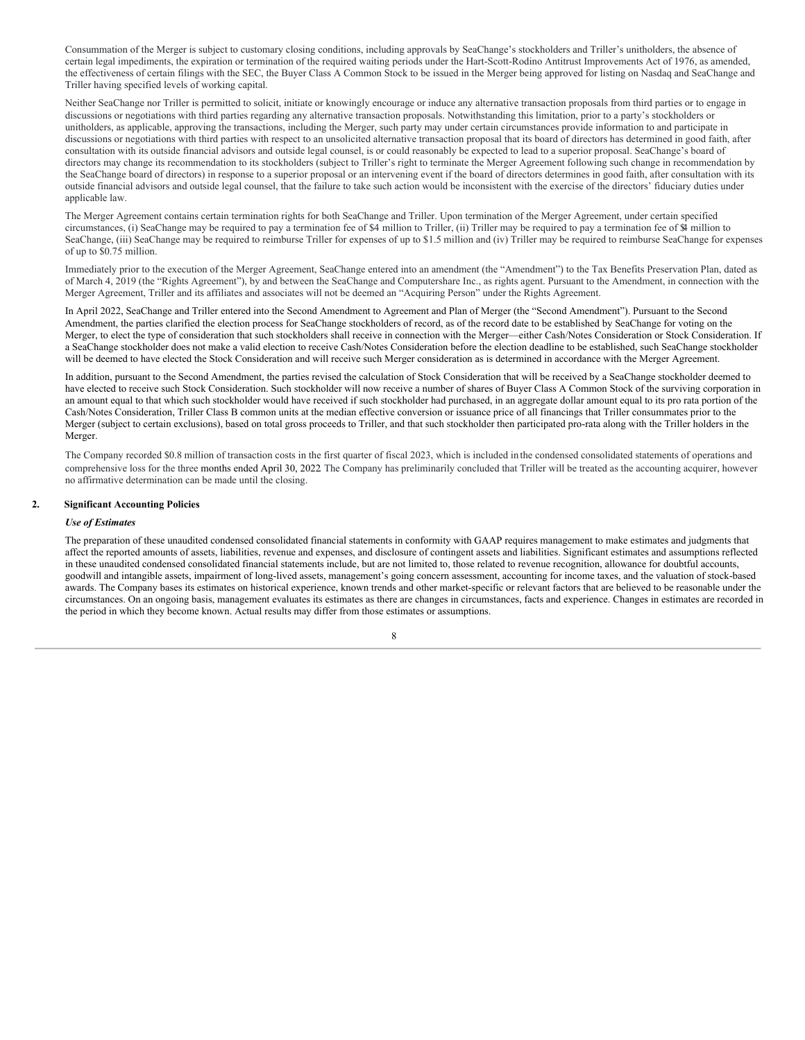Consummation of the Merger is subject to customary closing conditions, including approvals by SeaChange's stockholders and Triller's unitholders, the absence of certain legal impediments, the expiration or termination of the required waiting periods under the Hart-Scott-Rodino Antitrust Improvements Act of 1976, as amended, the effectiveness of certain filings with the SEC, the Buyer Class A Common Stock to be issued in the Merger being approved for listing on Nasdaq and SeaChange and Triller having specified levels of working capital.

Neither SeaChange nor Triller is permitted to solicit, initiate or knowingly encourage or induce any alternative transaction proposals from third parties or to engage in discussions or negotiations with third parties regarding any alternative transaction proposals. Notwithstanding this limitation, prior to a party's stockholders or unitholders, as applicable, approving the transactions, including the Merger, such party may under certain circumstances provide information to and participate in discussions or negotiations with third parties with respect to an unsolicited alternative transaction proposal that its board of directors has determined in good faith, after consultation with its outside financial advisors and outside legal counsel, is or could reasonably be expected to lead to a superior proposal. SeaChange's board of directors may change its recommendation to its stockholders (subject to Triller's right to terminate the Merger Agreement following such change in recommendation by the SeaChange board of directors) in response to a superior proposal or an intervening event if the board of directors determines in good faith, after consultation with its outside financial advisors and outside legal counsel, that the failure to take such action would be inconsistent with the exercise of the directors' fiduciary duties under applicable law.

The Merger Agreement contains certain termination rights for both SeaChange and Triller. Upon termination of the Merger Agreement, under certain specified circumstances, (i) SeaChange may be required to pay a termination fee of \$4 million to Triller, (ii) Triller may be required to pay a termination fee of \$4 million to SeaChange, (iii) SeaChange may be required to reimburse Triller for expenses of up to \$1.5 million and (iv) Triller may be required to reimburse SeaChange for expenses of up to \$0.75 million.

Immediately prior to the execution of the Merger Agreement, SeaChange entered into an amendment (the "Amendment") to the Tax Benefits Preservation Plan, dated as of March 4, 2019 (the "Rights Agreement"), by and between the SeaChange and Computershare Inc., as rights agent. Pursuant to the Amendment, in connection with the Merger Agreement, Triller and its affiliates and associates will not be deemed an "Acquiring Person" under the Rights Agreement.

In April 2022, SeaChange and Triller entered into the Second Amendment to Agreement and Plan of Merger (the "Second Amendment"). Pursuant to the Second Amendment, the parties clarified the election process for SeaChange stockholders of record, as of the record date to be established by SeaChange for voting on the Merger, to elect the type of consideration that such stockholders shall receive in connection with the Merger—either Cash/Notes Consideration or Stock Consideration. If a SeaChange stockholder does not make a valid election to receive Cash/Notes Consideration before the election deadline to be established, such SeaChange stockholder will be deemed to have elected the Stock Consideration and will receive such Merger consideration as is determined in accordance with the Merger Agreement.

In addition, pursuant to the Second Amendment, the parties revised the calculation of Stock Consideration that will be received by a SeaChange stockholder deemed to have elected to receive such Stock Consideration. Such stockholder will now receive a number of shares of Buyer Class A Common Stock of the surviving corporation in an amount equal to that which such stockholder would have received if such stockholder had purchased, in an aggregate dollar amount equal to its pro rata portion of the Cash/Notes Consideration, Triller Class B common units at the median effective conversion or issuance price of all financings that Triller consummates prior to the Merger (subject to certain exclusions), based on total gross proceeds to Triller, and that such stockholder then participated pro-rata along with the Triller holders in the Merger.

The Company recorded \$0.8 million of transaction costs in the first quarter of fiscal 2023, which is included in the condensed consolidated statements of operations and comprehensive loss for the three months ended April 30, 2022. The Company has preliminarily concluded that Triller will be treated as the accounting acquirer, however no affirmative determination can be made until the closing.

### **2. Significant Accounting Policies**

#### *Use of Estimates*

The preparation of these unaudited condensed consolidated financial statements in conformity with GAAP requires management to make estimates and judgments that affect the reported amounts of assets, liabilities, revenue and expenses, and disclosure of contingent assets and liabilities. Significant estimates and assumptions reflected in these unaudited condensed consolidated financial statements include, but are not limited to, those related to revenue recognition, allowance for doubtful accounts, goodwill and intangible assets, impairment of long-lived assets, management's going concern assessment, accounting for income taxes, and the valuation of stock-based awards. The Company bases its estimates on historical experience, known trends and other market-specific or relevant factors that are believed to be reasonable under the circumstances. On an ongoing basis, management evaluates its estimates as there are changes in circumstances, facts and experience. Changes in estimates are recorded in the period in which they become known. Actual results may differ from those estimates or assumptions.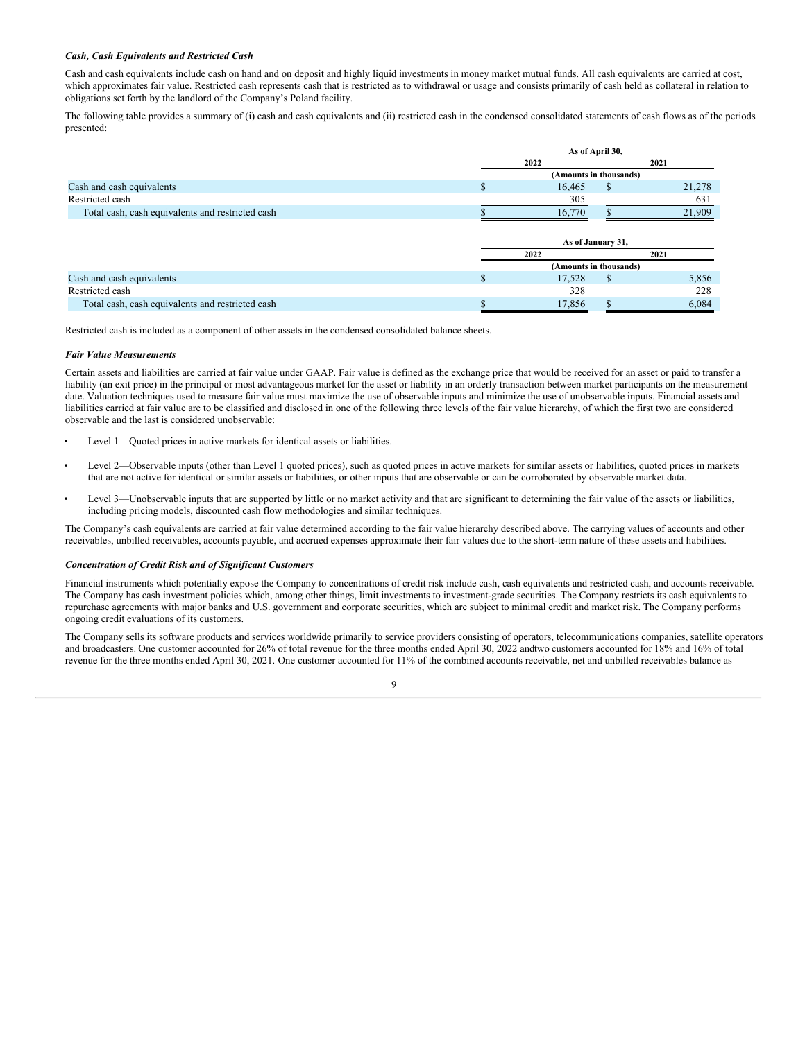### *Cash, Cash Equivalents and Restricted Cash*

Cash and cash equivalents include cash on hand and on deposit and highly liquid investments in money market mutual funds. All cash equivalents are carried at cost, which approximates fair value. Restricted cash represents cash that is restricted as to withdrawal or usage and consists primarily of cash held as collateral in relation to obligations set forth by the landlord of the Company's Poland facility.

The following table provides a summary of (i) cash and cash equivalents and (ii) restricted cash in the condensed consolidated statements of cash flows as of the periods presented:

|                                                  | As of April 30,        |        |                        |        |  |
|--------------------------------------------------|------------------------|--------|------------------------|--------|--|
|                                                  | 2022                   |        | 2021                   |        |  |
|                                                  |                        |        | (Amounts in thousands) |        |  |
| Cash and cash equivalents                        | J.                     | 16.465 | S                      | 21,278 |  |
| Restricted cash                                  |                        | 305    |                        | 631    |  |
| Total cash, cash equivalents and restricted cash |                        | 16,770 |                        | 21,909 |  |
|                                                  |                        |        |                        |        |  |
|                                                  |                        |        | As of January 31,      |        |  |
|                                                  | 2022                   |        | 2021                   |        |  |
|                                                  | (Amounts in thousands) |        |                        |        |  |
| Cash and cash equivalents                        | J.                     | 17,528 | <sup>\$</sup>          | 5,856  |  |
| Restricted cash                                  |                        | 328    |                        | 228    |  |
| Total cash, cash equivalents and restricted cash |                        | 17,856 |                        | 6,084  |  |

Restricted cash is included as a component of other assets in the condensed consolidated balance sheets.

### *Fair Value Measurements*

Certain assets and liabilities are carried at fair value under GAAP. Fair value is defined as the exchange price that would be received for an asset or paid to transfer a liability (an exit price) in the principal or most advantageous market for the asset or liability in an orderly transaction between market participants on the measurement date. Valuation techniques used to measure fair value must maximize the use of observable inputs and minimize the use of unobservable inputs. Financial assets and liabilities carried at fair value are to be classified and disclosed in one of the following three levels of the fair value hierarchy, of which the first two are considered observable and the last is considered unobservable:

- Level 1—Quoted prices in active markets for identical assets or liabilities.
- Level 2—Observable inputs (other than Level 1 quoted prices), such as quoted prices in active markets for similar assets or liabilities, quoted prices in markets that are not active for identical or similar assets or liabilities, or other inputs that are observable or can be corroborated by observable market data.
- Level 3—Unobservable inputs that are supported by little or no market activity and that are significant to determining the fair value of the assets or liabilities, including pricing models, discounted cash flow methodologies and similar techniques.

The Company's cash equivalents are carried at fair value determined according to the fair value hierarchy described above. The carrying values of accounts and other receivables, unbilled receivables, accounts payable, and accrued expenses approximate their fair values due to the short-term nature of these assets and liabilities.

### *Concentration of Credit Risk and of Significant Customers*

Financial instruments which potentially expose the Company to concentrations of credit risk include cash, cash equivalents and restricted cash, and accounts receivable. The Company has cash investment policies which, among other things, limit investments to investment-grade securities. The Company restricts its cash equivalents to repurchase agreements with major banks and U.S. government and corporate securities, which are subject to minimal credit and market risk. The Company performs ongoing credit evaluations of its customers.

The Company sells its software products and services worldwide primarily to service providers consisting of operators, telecommunications companies, satellite operators and broadcasters. One customer accounted for 26% of total revenue for the three months ended April 30, 2022 andtwo customers accounted for 18% and 16% of total revenue for the three months ended April 30, 2021. One customer accounted for 11% of the combined accounts receivable, net and unbilled receivables balance as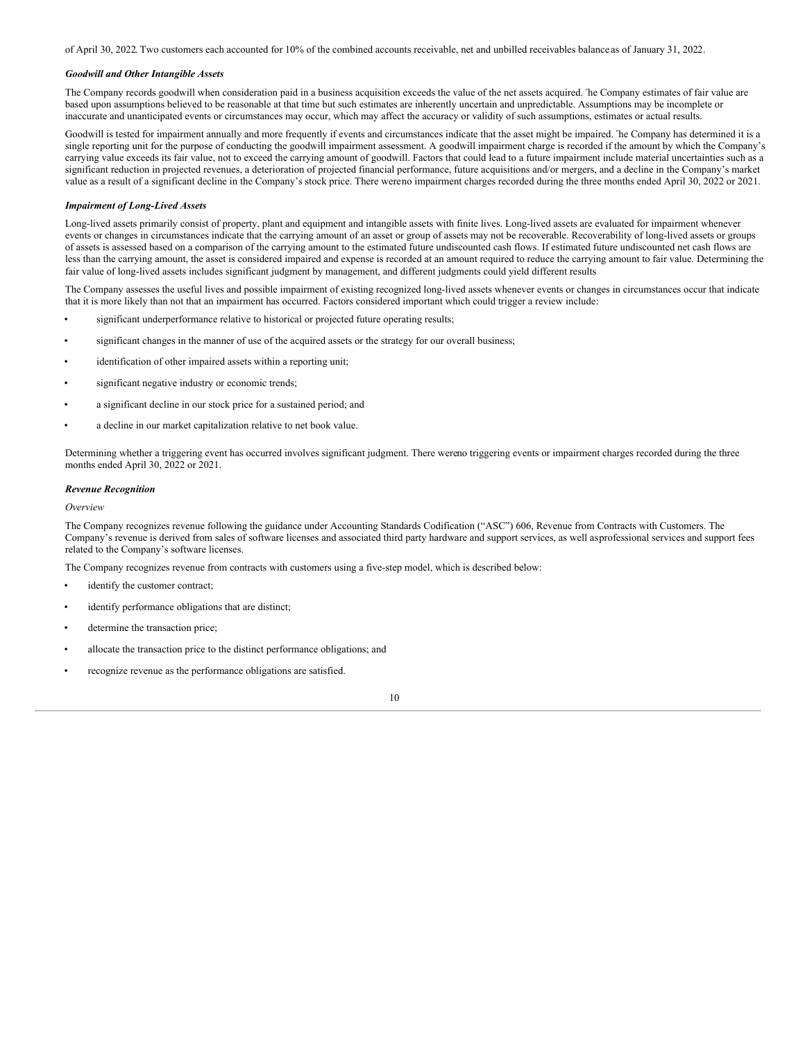of April 30, 2022. Two customers each accounted for 10% of the combined accounts receivable, net and unbilled receivables balance as of January 31, 2022.

### *Goodwill and Other Intangible Assets*

The Company records goodwill when consideration paid in a business acquisition exceeds the value of the net assets acquired. The Company estimates of fair value are based upon assumptions believed to be reasonable at that time but such estimates are inherently uncertain and unpredictable. Assumptions may be incomplete or inaccurate and unanticipated events or circumstances may occur, which may affect the accuracy or validity of such assumptions, estimates or actual results.

Goodwill is tested for impairment annually and more frequently if events and circumstances indicate that the asset might be impaired. The Company has determined it is a single reporting unit for the purpose of conducting the goodwill impairment assessment. A goodwill impairment charge is recorded if the amount by which the Company's carrying value exceeds its fair value, not to exceed the carrying amount of goodwill. Factors that could lead to a future impairment include material uncertainties such as a significant reduction in projected revenues, a deterioration of projected financial performance, future acquisitions and/or mergers, and a decline in the Company's market value as a result of a significant decline in the Company's stock price. There wereno impairment charges recorded during the three months ended April 30, 2022 or 2021.

### *Impairment of Long-Lived Assets*

Long-lived assets primarily consist of property, plant and equipment and intangible assets with finite lives. Long-lived assets are evaluated for impairment whenever events or changes in circumstances indicate that the carrying amount of an asset or group of assets may not be recoverable. Recoverability of long-lived assets or groups of assets is assessed based on a comparison of the carrying amount to the estimated future undiscounted cash flows. If estimated future undiscounted net cash flows are less than the carrying amount, the asset is considered impaired and expense is recorded at an amount required to reduce the carrying amount to fair value. Determining the fair value of long-lived assets includes significant judgment by management, and different judgments could yield different results

The Company assesses the useful lives and possible impairment of existing recognized long-lived assets whenever events or changes in circumstances occur that indicate that it is more likely than not that an impairment has occurred. Factors considered important which could trigger a review include:

- significant underperformance relative to historical or projected future operating results;
- significant changes in the manner of use of the acquired assets or the strategy for our overall business;
- identification of other impaired assets within a reporting unit;
- significant negative industry or economic trends;
- a significant decline in our stock price for a sustained period; and
- a decline in our market capitalization relative to net book value.

Determining whether a triggering event has occurred involves significant judgment. There wereno triggering events or impairment charges recorded during the three months ended April 30, 2022 or 2021.

### *Revenue Recognition*

### *Overview*

The Company recognizes revenue following the guidance under Accounting Standards Codification ("ASC") 606, Revenue from Contracts with Customers. The Company's revenue is derived from sales of software licenses and associated third party hardware and support services, as well asprofessional services and support fees related to the Company's software licenses.

The Company recognizes revenue from contracts with customers using a five-step model, which is described below:

- identify the customer contract;
- identify performance obligations that are distinct;
- determine the transaction price;
- allocate the transaction price to the distinct performance obligations; and
- recognize revenue as the performance obligations are satisfied.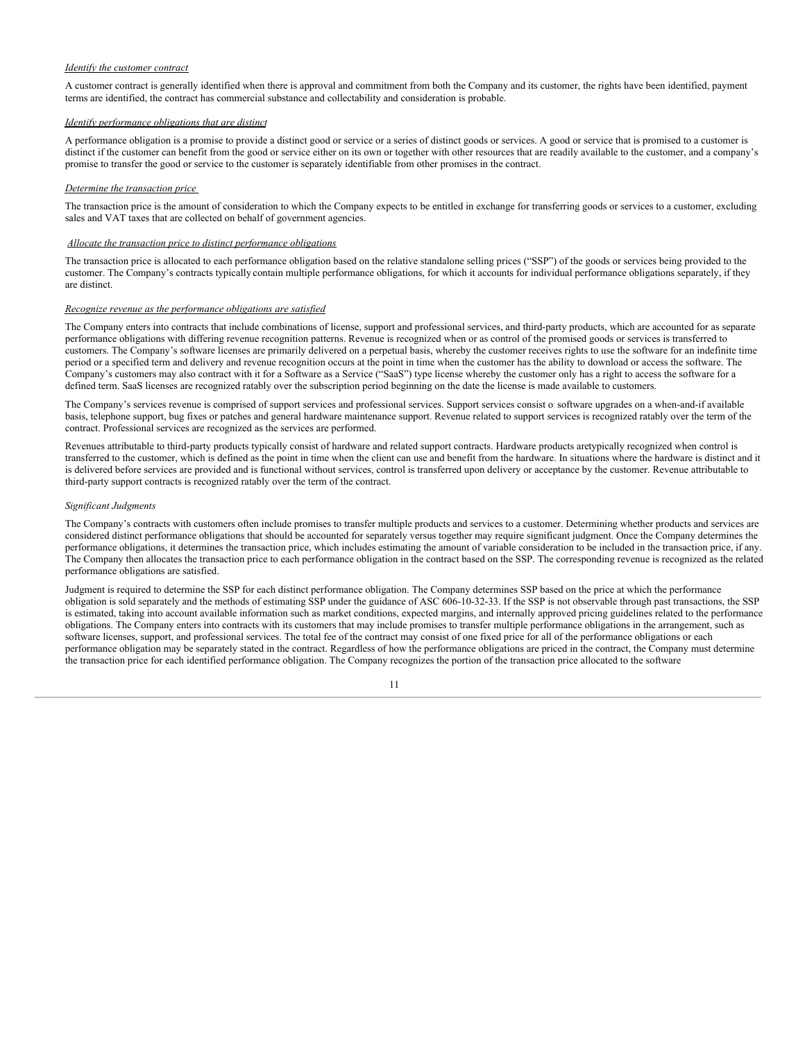### *Identify the customer contract*

A customer contract is generally identified when there is approval and commitment from both the Company and its customer, the rights have been identified, payment terms are identified, the contract has commercial substance and collectability and consideration is probable.

### *Identify performance obligations that are distinct*

A performance obligation is a promise to provide a distinct good or service or a series of distinct goods or services. A good or service that is promised to a customer is distinct if the customer can benefit from the good or service either on its own or together with other resources that are readily available to the customer, and a company's promise to transfer the good or service to the customer is separately identifiable from other promises in the contract.

### *Determine the transaction price*

The transaction price is the amount of consideration to which the Company expects to be entitled in exchange for transferring goods or services to a customer, excluding sales and VAT taxes that are collected on behalf of government agencies.

### *Allocate the transaction price to distinct performance obligations*

The transaction price is allocated to each performance obligation based on the relative standalone selling prices ("SSP") of the goods or services being provided to the customer. The Company's contracts typically contain multiple performance obligations, for which it accounts for individual performance obligations separately, if they are distinct.

### *Recognize revenue as the performance obligations are satisfied*

The Company enters into contracts that include combinations of license, support and professional services, and third-party products, which are accounted for as separate performance obligations with differing revenue recognition patterns. Revenue is recognized when or as control of the promised goods or services is transferred to customers. The Company's software licenses are primarily delivered on a perpetual basis, whereby the customer receives rights to use the software for an indefinite time period or a specified term and delivery and revenue recognition occurs at the point in time when the customer has the ability to download or access the software. The Company's customers may also contract with it for a Software as a Service ("SaaS") type license whereby the customer only has a right to access the software for a defined term. SaaS licenses are recognized ratably over the subscription period beginning on the date the license is made available to customers.

The Company's services revenue is comprised of support services and professional services. Support services consist of software upgrades on a when-and-if available basis, telephone support, bug fixes or patches and general hardware maintenance support. Revenue related to support services is recognized ratably over the term of the contract. Professional services are recognized as the services are performed.

Revenues attributable to third-party products typically consist of hardware and related support contracts. Hardware products aretypically recognized when control is transferred to the customer, which is defined as the point in time when the client can use and benefit from the hardware. In situations where the hardware is distinct and it is delivered before services are provided and is functional without services, control is transferred upon delivery or acceptance by the customer. Revenue attributable to third-party support contracts is recognized ratably over the term of the contract.

### *Significant Judgments*

The Company's contracts with customers often include promises to transfer multiple products and services to a customer. Determining whether products and services are considered distinct performance obligations that should be accounted for separately versus together may require significant judgment. Once the Company determines the performance obligations, it determines the transaction price, which includes estimating the amount of variable consideration to be included in the transaction price, if any. The Company then allocates the transaction price to each performance obligation in the contract based on the SSP. The corresponding revenue is recognized as the related performance obligations are satisfied.

Judgment is required to determine the SSP for each distinct performance obligation. The Company determines SSP based on the price at which the performance obligation is sold separately and the methods of estimating SSP under the guidance of ASC 606-10-32-33. If the SSP is not observable through past transactions, the SSP is estimated, taking into account available information such as market conditions, expected margins, and internally approved pricing guidelines related to the performance obligations. The Company enters into contracts with its customers that may include promises to transfer multiple performance obligations in the arrangement, such as software licenses, support, and professional services. The total fee of the contract may consist of one fixed price for all of the performance obligations or each performance obligation may be separately stated in the contract. Regardless of how the performance obligations are priced in the contract, the Company must determine the transaction price for each identified performance obligation. The Company recognizes the portion of the transaction price allocated to the software

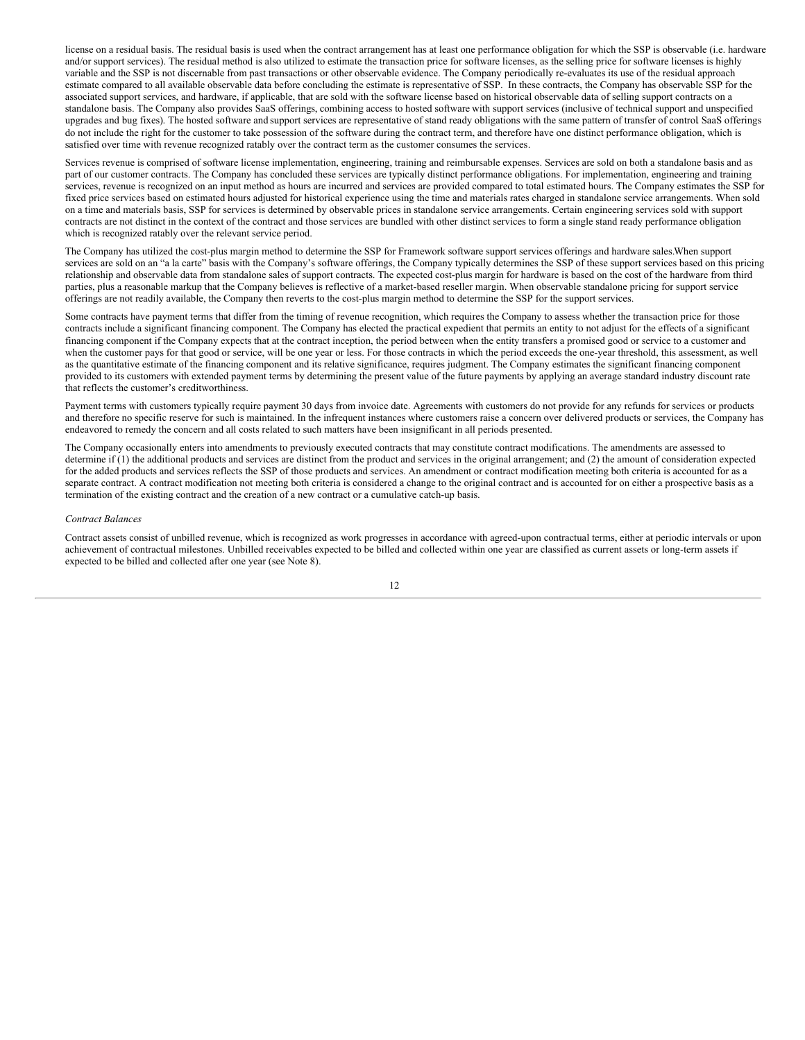license on a residual basis. The residual basis is used when the contract arrangement has at least one performance obligation for which the SSP is observable (i.e. hardware and/or support services). The residual method is also utilized to estimate the transaction price for software licenses, as the selling price for software licenses is highly variable and the SSP is not discernable from past transactions or other observable evidence. The Company periodically re-evaluates its use of the residual approach estimate compared to all available observable data before concluding the estimate is representative of SSP. In these contracts, the Company has observable SSP for the associated support services, and hardware, if applicable, that are sold with the software license based on historical observable data of selling support contracts on a standalone basis. The Company also provides SaaS offerings, combining access to hosted software with support services (inclusive of technical support and unspecified upgrades and bug fixes). The hosted software and support services are representative of stand ready obligations with the same pattern of transfer of control. SaaS offerings do not include the right for the customer to take possession of the software during the contract term, and therefore have one distinct performance obligation, which is satisfied over time with revenue recognized ratably over the contract term as the customer consumes the services.

Services revenue is comprised of software license implementation, engineering, training and reimbursable expenses. Services are sold on both a standalone basis and as part of our customer contracts. The Company has concluded these services are typically distinct performance obligations. For implementation, engineering and training services, revenue is recognized on an input method as hours are incurred and services are provided compared to total estimated hours. The Company estimates the SSP for fixed price services based on estimated hours adjusted for historical experience using the time and materials rates charged in standalone service arrangements. When sold on a time and materials basis, SSP for services is determined by observable prices in standalone service arrangements. Certain engineering services sold with support contracts are not distinct in the context of the contract and those services are bundled with other distinct services to form a single stand ready performance obligation which is recognized ratably over the relevant service period.

The Company has utilized the cost-plus margin method to determine the SSP for Framework software support services offerings and hardware sales.When support services are sold on an "a la carte" basis with the Company's software offerings, the Company typically determines the SSP of these support services based on this pricing relationship and observable data from standalone sales of support contracts. The expected cost-plus margin for hardware is based on the cost of the hardware from third parties, plus a reasonable markup that the Company believes is reflective of a market-based reseller margin. When observable standalone pricing for support service offerings are not readily available, the Company then reverts to the cost-plus margin method to determine the SSP for the support services.

Some contracts have payment terms that differ from the timing of revenue recognition, which requires the Company to assess whether the transaction price for those contracts include a significant financing component. The Company has elected the practical expedient that permits an entity to not adjust for the effects of a significant financing component if the Company expects that at the contract inception, the period between when the entity transfers a promised good or service to a customer and when the customer pays for that good or service, will be one year or less. For those contracts in which the period exceeds the one-year threshold, this assessment, as well as the quantitative estimate of the financing component and its relative significance, requires judgment. The Company estimates the significant financing component provided to its customers with extended payment terms by determining the present value of the future payments by applying an average standard industry discount rate that reflects the customer's creditworthiness.

Payment terms with customers typically require payment 30 days from invoice date. Agreements with customers do not provide for any refunds for services or products and therefore no specific reserve for such is maintained. In the infrequent instances where customers raise a concern over delivered products or services, the Company has endeavored to remedy the concern and all costs related to such matters have been insignificant in all periods presented.

The Company occasionally enters into amendments to previously executed contracts that may constitute contract modifications. The amendments are assessed to determine if (1) the additional products and services are distinct from the product and services in the original arrangement; and (2) the amount of consideration expected for the added products and services reflects the SSP of those products and services. An amendment or contract modification meeting both criteria is accounted for as a separate contract. A contract modification not meeting both criteria is considered a change to the original contract and is accounted for on either a prospective basis as a termination of the existing contract and the creation of a new contract or a cumulative catch-up basis.

#### *Contract Balances*

Contract assets consist of unbilled revenue, which is recognized as work progresses in accordance with agreed-upon contractual terms, either at periodic intervals or upon achievement of contractual milestones. Unbilled receivables expected to be billed and collected within one year are classified as current assets or long-term assets if expected to be billed and collected after one year (see Note 8).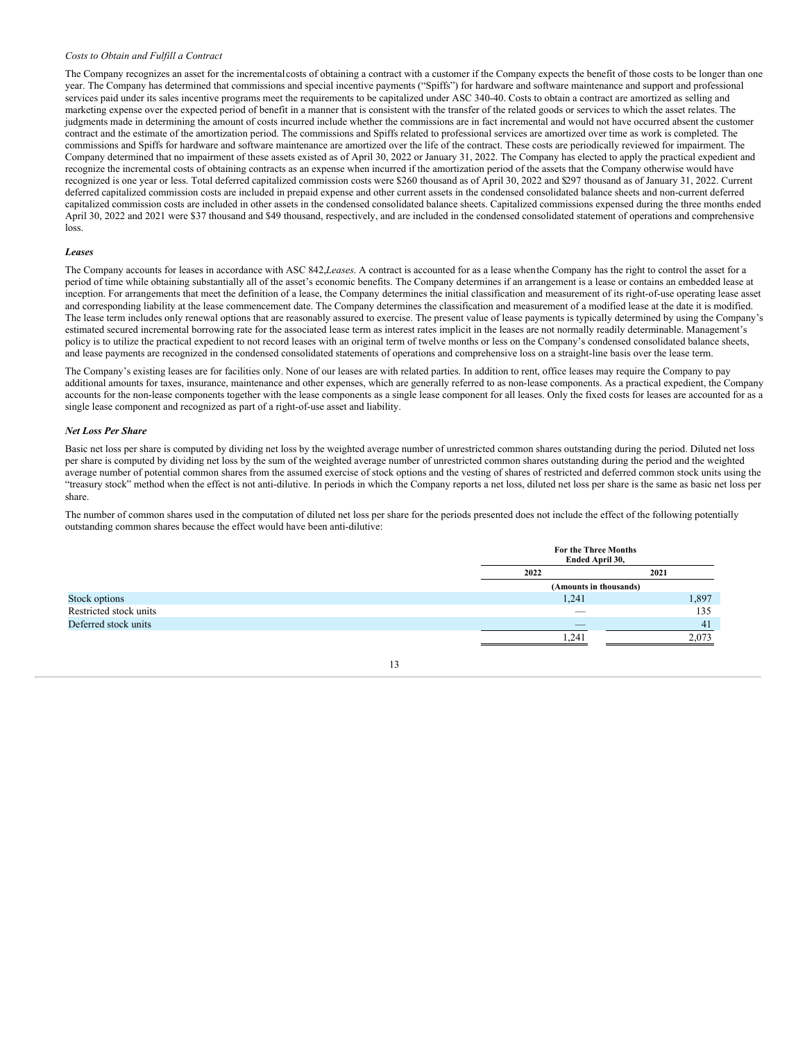### *Costs to Obtain and Fulfill a Contract*

The Company recognizes an asset for the incrementalcosts of obtaining a contract with a customer if the Company expects the benefit of those costs to be longer than one year. The Company has determined that commissions and special incentive payments ("Spiffs") for hardware and software maintenance and support and professional services paid under its sales incentive programs meet the requirements to be capitalized under ASC 340-40. Costs to obtain a contract are amortized as selling and marketing expense over the expected period of benefit in a manner that is consistent with the transfer of the related goods or services to which the asset relates. The judgments made in determining the amount of costs incurred include whether the commissions are in fact incremental and would not have occurred absent the customer contract and the estimate of the amortization period. The commissions and Spiffs related to professional services are amortized over time as work is completed. The commissions and Spiffs for hardware and software maintenance are amortized over the life of the contract. These costs are periodically reviewed for impairment. The Company determined that no impairment of these assets existed as of April 30, 2022 or January 31, 2022. The Company has elected to apply the practical expedient and recognize the incremental costs of obtaining contracts as an expense when incurred if the amortization period of the assets that the Company otherwise would have recognized is one year or less. Total deferred capitalized commission costs were \$260 thousand as of April 30, 2022 and \$297 thousand as of January 31, 2022. Current deferred capitalized commission costs are included in prepaid expense and other current assets in the condensed consolidated balance sheets and non-current deferred capitalized commission costs are included in other assets in the condensed consolidated balance sheets. Capitalized commissions expensed during the three months ended April 30, 2022 and 2021 were \$37 thousand and \$49 thousand, respectively, and are included in the condensed consolidated statement of operations and comprehensive loss.

### *Leases*

The Company accounts for leases in accordance with ASC 842,*Leases*. A contract is accounted for as a lease whenthe Company has the right to control the asset for a period of time while obtaining substantially all of the asset's economic benefits. The Company determines if an arrangement is a lease or contains an embedded lease at inception. For arrangements that meet the definition of a lease, the Company determines the initial classification and measurement of its right-of-use operating lease asset and corresponding liability at the lease commencement date. The Company determines the classification and measurement of a modified lease at the date it is modified. The lease term includes only renewal options that are reasonably assured to exercise. The present value of lease payments is typically determined by using the Company's estimated secured incremental borrowing rate for the associated lease term as interest rates implicit in the leases are not normally readily determinable. Management's policy is to utilize the practical expedient to not record leases with an original term of twelve months or less on the Company's condensed consolidated balance sheets, and lease payments are recognized in the condensed consolidated statements of operations and comprehensive loss on a straight-line basis over the lease term.

The Company's existing leases are for facilities only. None of our leases are with related parties. In addition to rent, office leases may require the Company to pay additional amounts for taxes, insurance, maintenance and other expenses, which are generally referred to as non-lease components. As a practical expedient, the Company accounts for the non-lease components together with the lease components as a single lease component for all leases. Only the fixed costs for leases are accounted for as a single lease component and recognized as part of a right-of-use asset and liability.

### *Net Loss Per Share*

Basic net loss per share is computed by dividing net loss by the weighted average number of unrestricted common shares outstanding during the period. Diluted net loss per share is computed by dividing net loss by the sum of the weighted average number of unrestricted common shares outstanding during the period and the weighted average number of potential common shares from the assumed exercise of stock options and the vesting of shares of restricted and deferred common stock units using the "treasury stock" method when the effect is not anti-dilutive. In periods in which the Company reports a net loss, diluted net loss per share is the same as basic net loss per share.

The number of common shares used in the computation of diluted net loss per share for the periods presented does not include the effect of the following potentially outstanding common shares because the effect would have been anti-dilutive:

|                        | For the Three Months<br>Ended April 30, |       |  |  |
|------------------------|-----------------------------------------|-------|--|--|
|                        | 2022                                    | 2021  |  |  |
|                        | (Amounts in thousands)                  |       |  |  |
| Stock options          | 1,241                                   | 1,897 |  |  |
| Restricted stock units |                                         | 135   |  |  |
| Deferred stock units   |                                         | 41    |  |  |
|                        | 1,241                                   | 2,073 |  |  |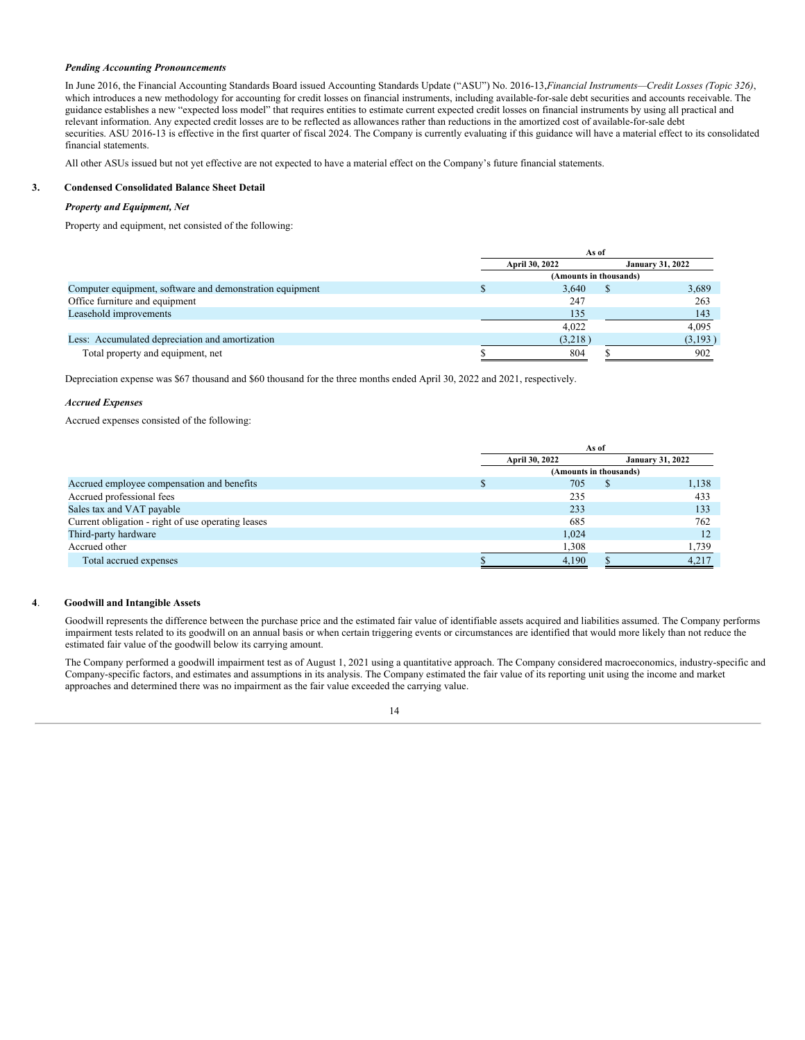### *Pending Accounting Pronouncements*

In June 2016, the Financial Accounting Standards Board issued Accounting Standards Update ("ASU") No. 2016-13,*Financial Instruments—Credit Losses (Topic 326)*, which introduces a new methodology for accounting for credit losses on financial instruments, including available-for-sale debt securities and accounts receivable. The guidance establishes a new "expected loss model" that requires entities to estimate current expected credit losses on financial instruments by using all practical and relevant information. Any expected credit losses are to be reflected as allowances rather than reductions in the amortized cost of available-for-sale debt securities. ASU 2016-13 is effective in the first quarter of fiscal 2024. The Company is currently evaluating if this guidance will have a material effect to its consolidated financial statements.

All other ASUs issued but not yet effective are not expected to have a material effect on the Company's future financial statements.

### **3. Condensed Consolidated Balance Sheet Detail**

### *Property and Equipment, Net*

Property and equipment, net consisted of the following:

|                                                          | As of          |                         |         |  |  |
|----------------------------------------------------------|----------------|-------------------------|---------|--|--|
|                                                          | April 30, 2022 | <b>January 31, 2022</b> |         |  |  |
|                                                          |                | (Amounts in thousands)  |         |  |  |
| Computer equipment, software and demonstration equipment | 3.640          |                         | 3.689   |  |  |
| Office furniture and equipment                           | 247            |                         | 263     |  |  |
| Leasehold improvements                                   | 135            |                         | 143     |  |  |
|                                                          | 4.022          |                         | 4.095   |  |  |
| Less: Accumulated depreciation and amortization          | (3,218)        |                         | (3,193) |  |  |
| Total property and equipment, net                        | 804            |                         | 902     |  |  |

Depreciation expense was \$67 thousand and \$60 thousand for the three months ended April 30, 2022 and 2021, respectively.

### *Accrued Expenses*

Accrued expenses consisted of the following:

|                                                    | As of                  |       |  |                         |  |  |  |
|----------------------------------------------------|------------------------|-------|--|-------------------------|--|--|--|
|                                                    | April 30, 2022         |       |  | <b>January 31, 2022</b> |  |  |  |
|                                                    | (Amounts in thousands) |       |  |                         |  |  |  |
| Accrued employee compensation and benefits         |                        | 705   |  | 1,138                   |  |  |  |
| Accrued professional fees                          |                        | 235   |  | 433                     |  |  |  |
| Sales tax and VAT payable                          |                        | 233   |  | 133                     |  |  |  |
| Current obligation - right of use operating leases |                        | 685   |  | 762                     |  |  |  |
| Third-party hardware                               |                        | 1.024 |  | 12                      |  |  |  |
| Accrued other                                      |                        | 1,308 |  | 1,739                   |  |  |  |
| Total accrued expenses                             |                        | 4,190 |  | 4,217                   |  |  |  |

### **4**. **Goodwill and Intangible Assets**

Goodwill represents the difference between the purchase price and the estimated fair value of identifiable assets acquired and liabilities assumed. The Company performs impairment tests related to its goodwill on an annual basis or when certain triggering events or circumstances are identified that would more likely than not reduce the estimated fair value of the goodwill below its carrying amount.

The Company performed a goodwill impairment test as of August 1, 2021 using a quantitative approach. The Company considered macroeconomics, industry-specific and Company-specific factors, and estimates and assumptions in its analysis. The Company estimated the fair value of its reporting unit using the income and market approaches and determined there was no impairment as the fair value exceeded the carrying value.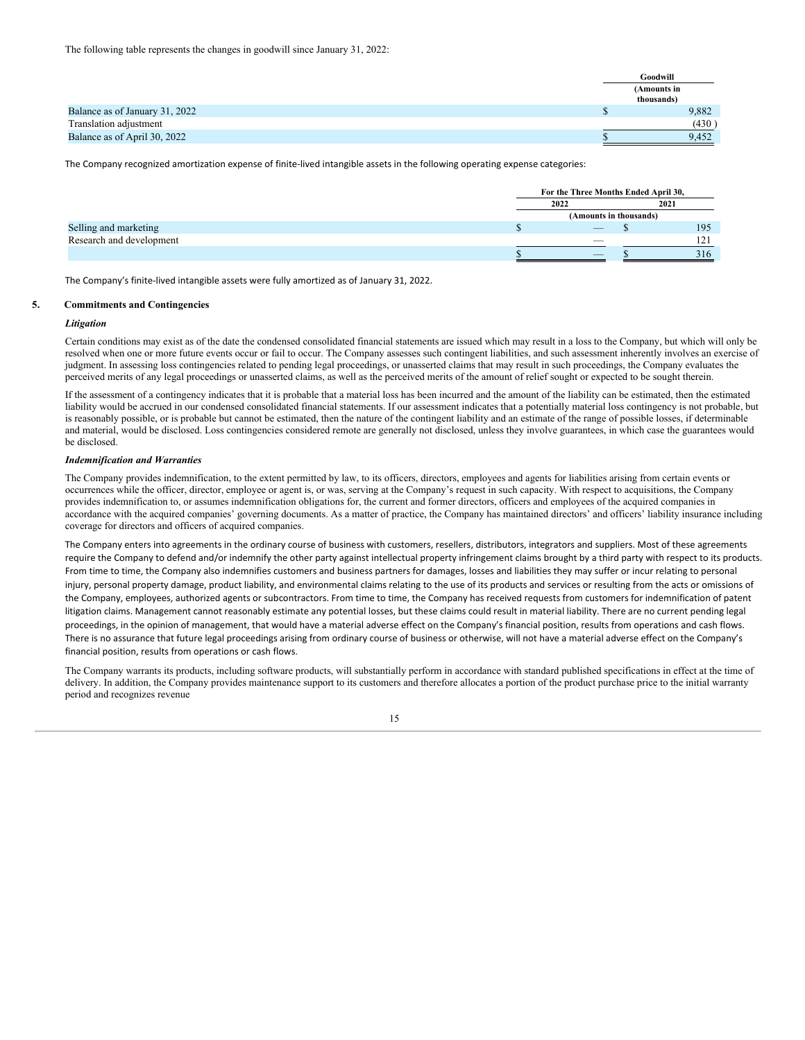|                                | Goodwill                  |
|--------------------------------|---------------------------|
|                                | (Amounts in<br>thousands) |
| Balance as of January 31, 2022 | 9,882                     |
| Translation adjustment         | (430)                     |
| Balance as of April 30, 2022   | 9.452                     |

The Company recognized amortization expense of finite-lived intangible assets in the following operating expense categories:

|                          |      | For the Three Months Ended April 30, |     |  |  |
|--------------------------|------|--------------------------------------|-----|--|--|
|                          | 2022 | 2021                                 |     |  |  |
|                          |      | (Amounts in thousands)               |     |  |  |
| Selling and marketing    |      |                                      | 195 |  |  |
| Research and development |      |                                      | 1つ1 |  |  |
|                          |      |                                      | 316 |  |  |

The Company's finite-lived intangible assets were fully amortized as of January 31, 2022.

### **5. Commitments and Contingencies**

### *Litigation*

Certain conditions may exist as of the date the condensed consolidated financial statements are issued which may result in a loss to the Company, but which will only be resolved when one or more future events occur or fail to occur. The Company assesses such contingent liabilities, and such assessment inherently involves an exercise of judgment. In assessing loss contingencies related to pending legal proceedings, or unasserted claims that may result in such proceedings, the Company evaluates the perceived merits of any legal proceedings or unasserted claims, as well as the perceived merits of the amount of relief sought or expected to be sought therein.

If the assessment of a contingency indicates that it is probable that a material loss has been incurred and the amount of the liability can be estimated, then the estimated liability would be accrued in our condensed consolidated financial statements. If our assessment indicates that a potentially material loss contingency is not probable, but is reasonably possible, or is probable but cannot be estimated, then the nature of the contingent liability and an estimate of the range of possible losses, if determinable and material, would be disclosed. Loss contingencies considered remote are generally not disclosed, unless they involve guarantees, in which case the guarantees would be disclosed.

### *Indemnification and Warranties*

The Company provides indemnification, to the extent permitted by law, to its officers, directors, employees and agents for liabilities arising from certain events or occurrences while the officer, director, employee or agent is, or was, serving at the Company's request in such capacity. With respect to acquisitions, the Company provides indemnification to, or assumes indemnification obligations for, the current and former directors, officers and employees of the acquired companies in accordance with the acquired companies' governing documents. As a matter of practice, the Company has maintained directors' and officers' liability insurance including coverage for directors and officers of acquired companies.

The Company enters into agreements in the ordinary course of business with customers, resellers, distributors, integrators and suppliers. Most of these agreements require the Company to defend and/or indemnify the other party against intellectual property infringement claims brought by a third party with respect to its products. From time to time, the Company also indemnifies customers and business partners for damages, losses and liabilities they may suffer or incur relating to personal injury, personal property damage, product liability, and environmental claims relating to the use of its products and services or resulting from the acts or omissions of the Company, employees, authorized agents or subcontractors. From time to time, the Company has received requests from customers for indemnification of patent litigation claims. Management cannot reasonably estimate any potential losses, but these claims could result in material liability. There are no current pending legal proceedings, in the opinion of management, that would have a material adverse effect on the Company's financial position, results from operations and cash flows. There is no assurance that future legal proceedings arising from ordinary course of business or otherwise, will not have a material adverse effect on the Company's financial position, results from operations or cash flows.

The Company warrants its products, including software products, will substantially perform in accordance with standard published specifications in effect at the time of delivery. In addition, the Company provides maintenance support to its customers and therefore allocates a portion of the product purchase price to the initial warranty period and recognizes revenue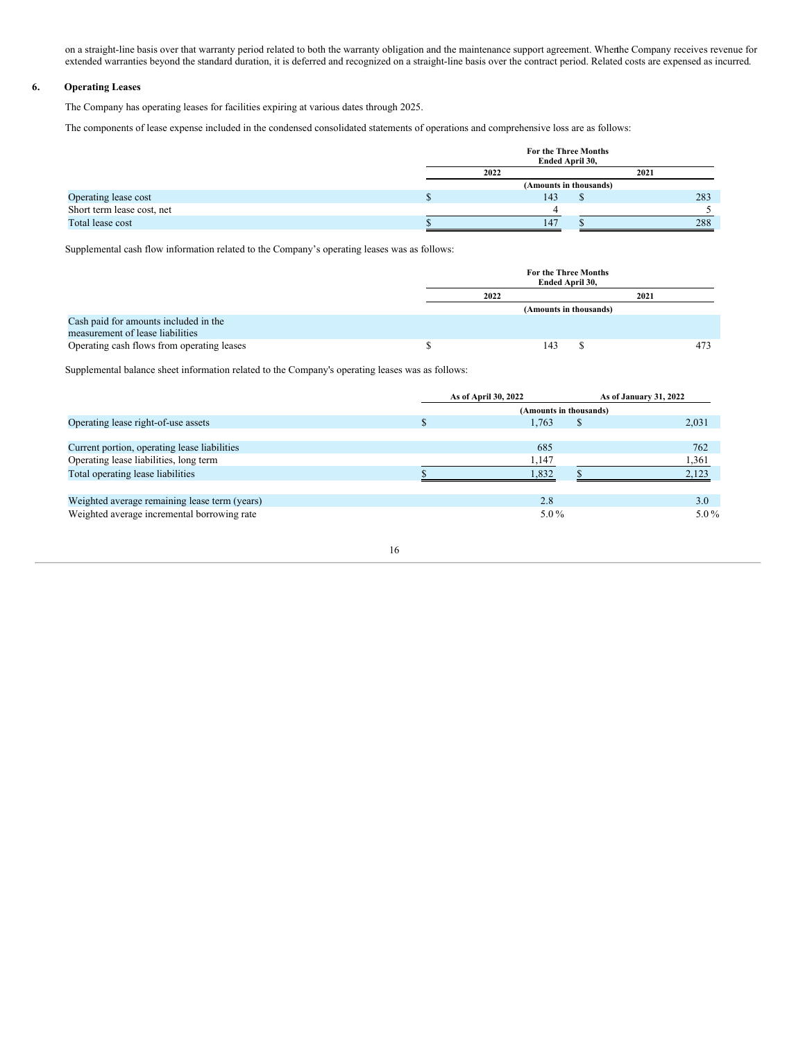on a straight-line basis over that warranty period related to both the warranty obligation and the maintenance support agreement. Whenthe Company receives revenue for extended warranties beyond the standard duration, it is deferred and recognized on a straight-line basis over the contract period. Related costs are expensed as incurred.

### **6. Operating Leases**

The Company has operating leases for facilities expiring at various dates through 2025.

The components of lease expense included in the condensed consolidated statements of operations and comprehensive loss are as follows:

|                            |                        | For the Three Months<br>Ended April 30, |  |     |     |
|----------------------------|------------------------|-----------------------------------------|--|-----|-----|
|                            | 2022<br>2021           |                                         |  |     |     |
|                            | (Amounts in thousands) |                                         |  |     |     |
| Operating lease cost       |                        | 143                                     |  | 283 |     |
| Short term lease cost, net |                        |                                         |  |     |     |
| Total lease cost           |                        | 147                                     |  |     | 288 |

Supplemental cash flow information related to the Company's operating leases was as follows:

|                                            | For the Three Months<br>Ended April 30, |     |  |      |     |
|--------------------------------------------|-----------------------------------------|-----|--|------|-----|
|                                            | 2022                                    |     |  | 2021 |     |
|                                            | (Amounts in thousands)                  |     |  |      |     |
| Cash paid for amounts included in the      |                                         |     |  |      |     |
| measurement of lease liabilities           |                                         |     |  |      |     |
| Operating cash flows from operating leases |                                         | 143 |  |      | 473 |

Supplemental balance sheet information related to the Company's operating leases was as follows:

|                                               | As of April 30, 2022 |                        | As of January 31, 2022 |         |
|-----------------------------------------------|----------------------|------------------------|------------------------|---------|
|                                               |                      | (Amounts in thousands) |                        |         |
| Operating lease right-of-use assets           |                      | 1.763                  | \$                     | 2,031   |
|                                               |                      |                        |                        |         |
| Current portion, operating lease liabilities  |                      | 685                    |                        | 762     |
| Operating lease liabilities, long term        |                      | 1,147                  |                        | 1,361   |
| Total operating lease liabilities             |                      | 1,832                  |                        | 2.123   |
|                                               |                      |                        |                        |         |
| Weighted average remaining lease term (years) |                      | 2.8                    |                        | 3.0     |
| Weighted average incremental borrowing rate   |                      | $5.0\%$                |                        | $5.0\%$ |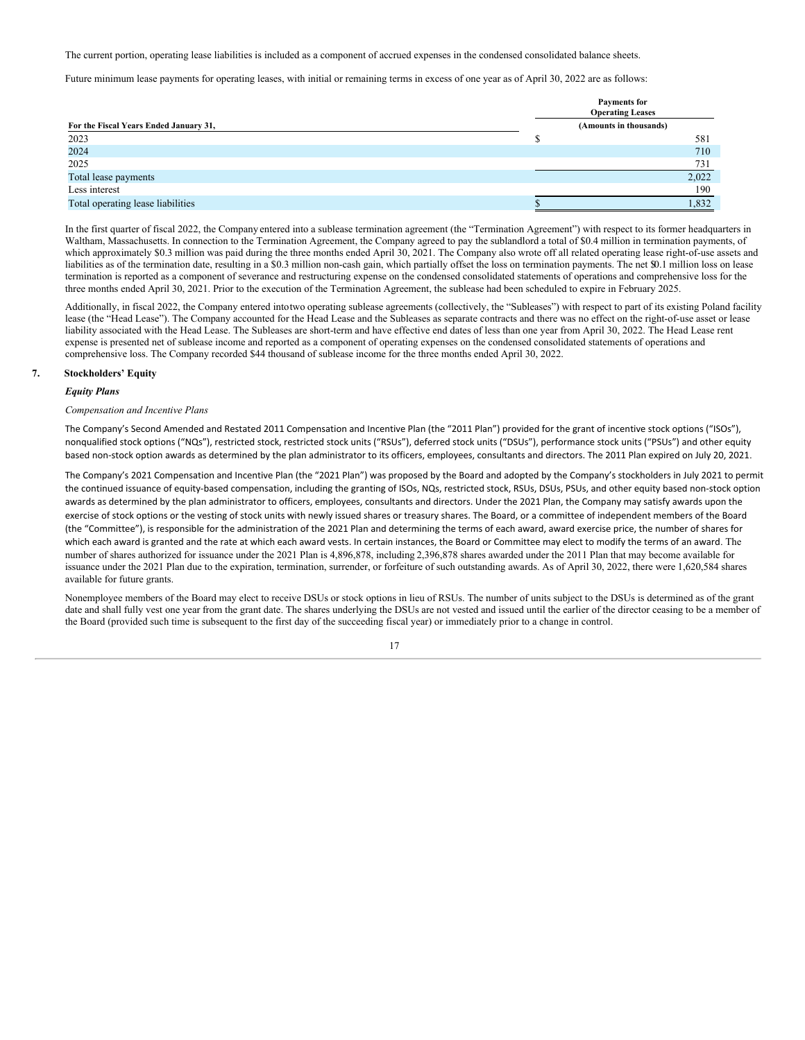The current portion, operating lease liabilities is included as a component of accrued expenses in the condensed consolidated balance sheets.

Future minimum lease payments for operating leases, with initial or remaining terms in excess of one year as of April 30, 2022 are as follows:

|                                        | <b>Payments for</b><br><b>Operating Leases</b> |  |  |  |  |
|----------------------------------------|------------------------------------------------|--|--|--|--|
| For the Fiscal Years Ended January 31, | (Amounts in thousands)                         |  |  |  |  |
| 2023                                   | 581                                            |  |  |  |  |
| 2024                                   | 710                                            |  |  |  |  |
| 2025                                   | 731                                            |  |  |  |  |
| Total lease payments                   | 2,022                                          |  |  |  |  |
| Less interest                          | 190                                            |  |  |  |  |
| Total operating lease liabilities      | 1,832                                          |  |  |  |  |

In the first quarter of fiscal 2022, the Company entered into a sublease termination agreement (the "Termination Agreement") with respect to its former headquarters in Waltham, Massachusetts. In connection to the Termination Agreement, the Company agreed to pay the sublandlord a total of \$0.4 million in termination payments, of which approximately \$0.3 million was paid during the three months ended April 30, 2021. The Company also wrote off all related operating lease right-of-use assets and liabilities as of the termination date, resulting in a \$0.3 million non-cash gain, which partially offset the loss on termination payments. The net \$0.1 million loss on lease termination is reported as a component of severance and restructuring expense on the condensed consolidated statements of operations and comprehensive loss for the three months ended April 30, 2021. Prior to the execution of the Termination Agreement, the sublease had been scheduled to expire in February 2025.

Additionally, in fiscal 2022, the Company entered intotwo operating sublease agreements (collectively, the "Subleases") with respect to part of its existing Poland facility lease (the "Head Lease"). The Company accounted for the Head Lease and the Subleases as separate contracts and there was no effect on the right-of-use asset or lease liability associated with the Head Lease. The Subleases are short-term and have effective end dates of less than one year from April 30, 2022. The Head Lease rent expense is presented net of sublease income and reported as a component of operating expenses on the condensed consolidated statements of operations and comprehensive loss. The Company recorded \$44 thousand of sublease income for the three months ended April 30, 2022.

### **7. Stockholders' Equity**

### *Equity Plans*

### *Compensation and Incentive Plans*

The Company's Second Amended and Restated 2011 Compensation and Incentive Plan (the "2011 Plan") provided for the grant of incentive stock options ("ISOs"), nonqualified stock options ("NQs"), restricted stock, restricted stock units ("RSUs"), deferred stock units ("DSUs"), performance stock units ("PSUs") and other equity based non-stock option awards as determined by the plan administrator to its officers, employees, consultants and directors. The 2011 Plan expired on July 20, 2021.

The Company's 2021 Compensation and Incentive Plan (the "2021 Plan") was proposed by the Board and adopted by the Company's stockholders in July 2021 to permit the continued issuance of equity-based compensation, including the granting of ISOs, NQs, restricted stock, RSUs, DSUs, PSUs, and other equity based non-stock option awards as determined by the plan administrator to officers, employees, consultants and directors. Under the 2021 Plan, the Company may satisfy awards upon the exercise of stock options or the vesting of stock units with newly issued shares or treasury shares. The Board, or a committee of independent members of the Board (the "Committee"), is responsible for the administration of the 2021 Plan and determining the terms of each award, award exercise price, the number of shares for which each award is granted and the rate at which each award vests. In certain instances, the Board or Committee may elect to modify the terms of an award. The number of shares authorized for issuance under the 2021 Plan is 4,896,878, including 2,396,878 shares awarded under the 2011 Plan that may become available for issuance under the 2021 Plan due to the expiration, termination, surrender, or forfeiture of such outstanding awards. As of April 30, 2022, there were 1,620,584 shares available for future grants.

Nonemployee members of the Board may elect to receive DSUs or stock options in lieu of RSUs. The number of units subject to the DSUs is determined as of the grant date and shall fully vest one year from the grant date. The shares underlying the DSUs are not vested and issued until the earlier of the director ceasing to be a member of the Board (provided such time is subsequent to the first day of the succeeding fiscal year) or immediately prior to a change in control.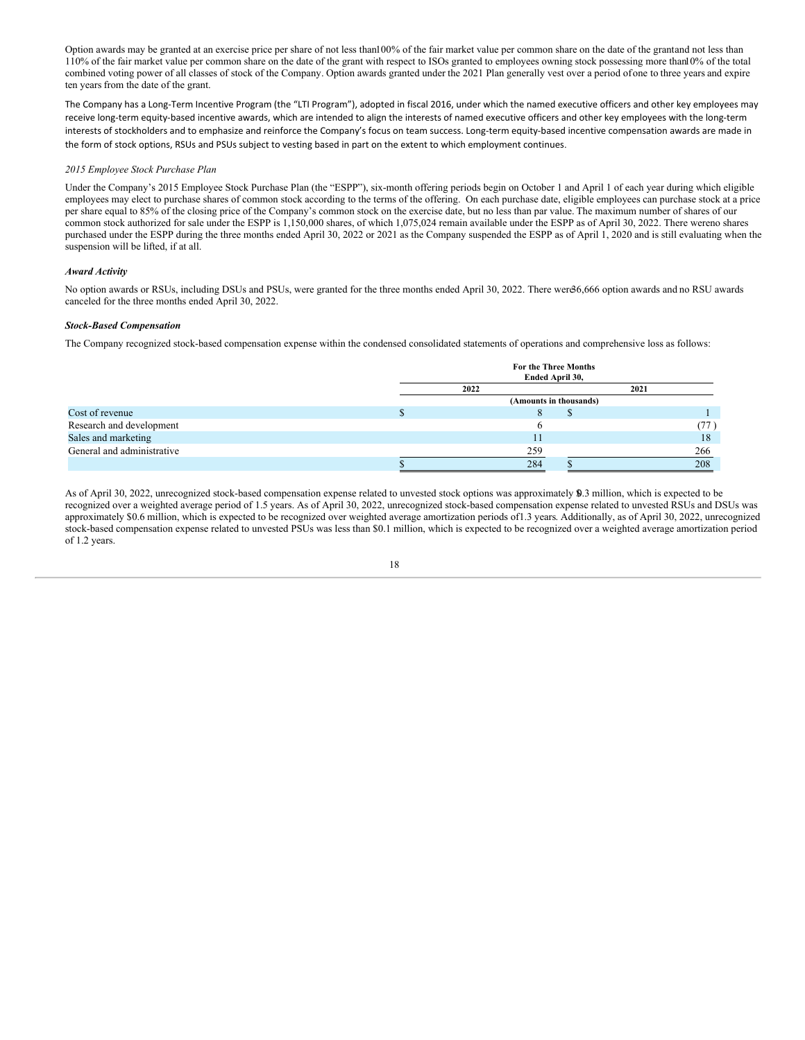Option awards may be granted at an exercise price per share of not less than100% of the fair market value per common share on the date of the grantand not less than 110% of the fair market value per common share on the date of the grant with respect to ISOs granted to employees owning stock possessing more than10% of the total combined voting power of all classes of stock of the Company. Option awards granted under the 2021 Plan generally vest over a period ofone to three years and expire ten years from the date of the grant.

The Company has a Long-Term Incentive Program (the "LTI Program"), adopted in fiscal 2016, under which the named executive officers and other key employees may receive long-term equity-based incentive awards, which are intended to align the interests of named executive officers and other key employees with the long-term interests of stockholders and to emphasize and reinforce the Company's focus on team success. Long-term equity-based incentive compensation awards are made in the form of stock options, RSUs and PSUs subject to vesting based in part on the extent to which employment continues.

### *2015 Employee Stock Purchase Plan*

Under the Company's 2015 Employee Stock Purchase Plan (the "ESPP"), six-month offering periods begin on October 1 and April 1 of each year during which eligible employees may elect to purchase shares of common stock according to the terms of the offering. On each purchase date, eligible employees can purchase stock at a price per share equal to 85% of the closing price of the Company's common stock on the exercise date, but no less than par value. The maximum number of shares of our common stock authorized for sale under the ESPP is 1,150,000 shares, of which 1,075,024 remain available under the ESPP as of April 30, 2022. There wereno shares purchased under the ESPP during the three months ended April 30, 2022 or 2021 as the Company suspended the ESPP as of April 1, 2020 and is still evaluating when the suspension will be lifted, if at all.

### *Award Activity*

No option awards or RSUs, including DSUs and PSUs, were granted for the three months ended April 30, 2022. There were36,666 option awards and no RSU awards canceled for the three months ended April 30, 2022.

### *Stock-Based Compensation*

The Company recognized stock-based compensation expense within the condensed consolidated statements of operations and comprehensive loss as follows:

|                            | <b>For the Three Months</b><br>Ended April 30, |       |
|----------------------------|------------------------------------------------|-------|
|                            | 2022                                           | 2021  |
|                            | (Amounts in thousands)                         |       |
| Cost of revenue            | Ō                                              |       |
| Research and development   | o                                              | (77 ) |
| Sales and marketing        | 11                                             | 18    |
| General and administrative | 259                                            | 266   |
|                            | 284                                            | 208   |

As of April 30, 2022, unrecognized stock-based compensation expense related to unvested stock options was approximately \$0.3 million, which is expected to be recognized over a weighted average period of 1.5 years. As of April 30, 2022, unrecognized stock-based compensation expense related to unvested RSUs and DSUs was approximately \$0.6 million, which is expected to be recognized over weighted average amortization periods of1.3 years. Additionally, as of April 30, 2022, unrecognized stock-based compensation expense related to unvested PSUs was less than \$0.1 million, which is expected to be recognized over a weighted average amortization period of 1.2 years.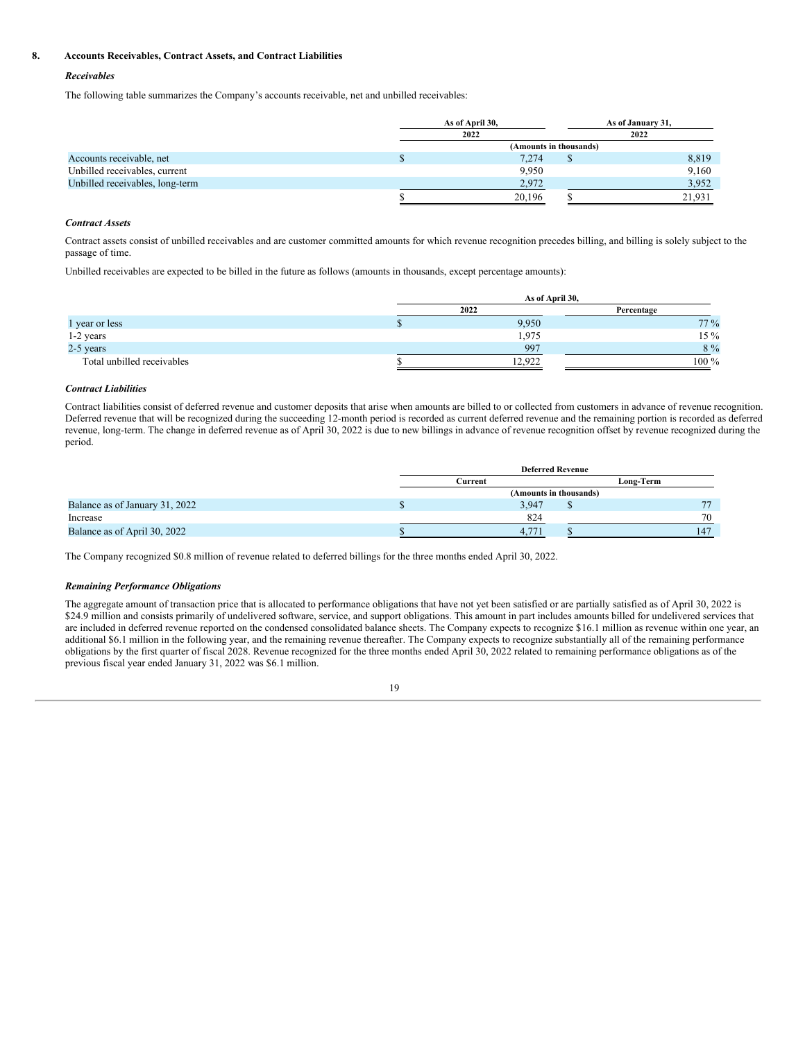### **8. Accounts Receivables, Contract Assets, and Contract Liabilities**

### *Receivables*

The following table summarizes the Company's accounts receivable, net and unbilled receivables:

|                                 | As of April 30,        |  | As of January 31, |  |
|---------------------------------|------------------------|--|-------------------|--|
|                                 | 2022                   |  | 2022              |  |
|                                 | (Amounts in thousands) |  |                   |  |
| Accounts receivable, net        | 7,274                  |  | 8,819             |  |
| Unbilled receivables, current   | 9.950                  |  | 9,160             |  |
| Unbilled receivables, long-term | 2,972                  |  | 3,952             |  |
|                                 | 20,196                 |  | 21,931            |  |

### *Contract Assets*

Contract assets consist of unbilled receivables and are customer committed amounts for which revenue recognition precedes billing, and billing is solely subject to the passage of time.

Unbilled receivables are expected to be billed in the future as follows (amounts in thousands, except percentage amounts):

|                            | As of April 30, |            |  |  |  |
|----------------------------|-----------------|------------|--|--|--|
|                            | 2022            | Percentage |  |  |  |
| 1 year or less             | 9,950           | 77 %       |  |  |  |
| 1-2 years                  | 1,975           | $15\%$     |  |  |  |
| 2-5 years                  | 997             | $8\%$      |  |  |  |
| Total unbilled receivables | 12.922          | $100\ \%$  |  |  |  |

### *Contract Liabilities*

Contract liabilities consist of deferred revenue and customer deposits that arise when amounts are billed to or collected from customers in advance of revenue recognition. Deferred revenue that will be recognized during the succeeding 12-month period is recorded as current deferred revenue and the remaining portion is recorded as deferred revenue, long-term. The change in deferred revenue as of April 30, 2022 is due to new billings in advance of revenue recognition offset by revenue recognized during the period.

|                                | <b>Deferred Revenue</b> |       |                        |           |
|--------------------------------|-------------------------|-------|------------------------|-----------|
|                                | Current                 |       |                        | Long-Term |
|                                |                         |       | (Amounts in thousands) |           |
| Balance as of January 31, 2022 |                         | 3.947 |                        |           |
| Increase                       |                         | 824   |                        | 70        |
| Balance as of April 30, 2022   |                         | 4.771 |                        | 147       |

The Company recognized \$0.8 million of revenue related to deferred billings for the three months ended April 30, 2022.

### *Remaining Performance Obligations*

The aggregate amount of transaction price that is allocated to performance obligations that have not yet been satisfied or are partially satisfied as of April 30, 2022 is \$24.9 million and consists primarily of undelivered software, service, and support obligations. This amount in part includes amounts billed for undelivered services that are included in deferred revenue reported on the condensed consolidated balance sheets. The Company expects to recognize \$16.1 million as revenue within one year, an additional \$6.1 million in the following year, and the remaining revenue thereafter. The Company expects to recognize substantially all of the remaining performance obligations by the first quarter of fiscal 2028. Revenue recognized for the three months ended April 30, 2022 related to remaining performance obligations as of the previous fiscal year ended January 31, 2022 was \$6.1 million.

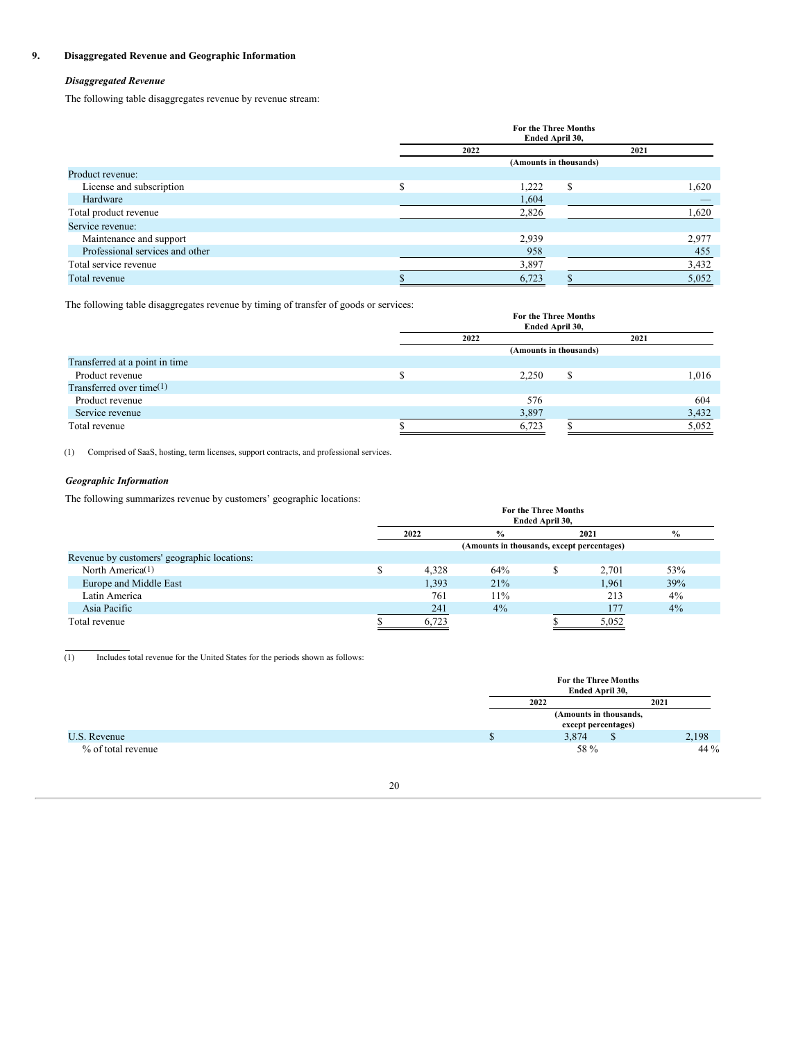### **9. Disaggregated Revenue and Geographic Information**

### *Disaggregated Revenue*

The following table disaggregates revenue by revenue stream:

|                                 |   | For the Three Months<br>Ended April 30, |   |      |       |  |
|---------------------------------|---|-----------------------------------------|---|------|-------|--|
|                                 |   | 2022                                    |   | 2021 |       |  |
|                                 |   | (Amounts in thousands)                  |   |      |       |  |
| Product revenue:                |   |                                         |   |      |       |  |
| License and subscription        | ¢ | 1,222                                   | S |      | 1,620 |  |
| Hardware                        |   | 1,604                                   |   |      |       |  |
| Total product revenue           |   | 2,826                                   |   |      | 1,620 |  |
| Service revenue:                |   |                                         |   |      |       |  |
| Maintenance and support         |   | 2,939                                   |   |      | 2,977 |  |
| Professional services and other |   | 958                                     |   |      | 455   |  |
| Total service revenue           |   | 3,897                                   |   |      | 3,432 |  |
| Total revenue                   |   | 6,723                                   |   |      | 5,052 |  |

The following table disaggregates revenue by timing of transfer of goods or services:

|                                | <b>For the Three Months</b><br>Ended April 30, |       |   |      |       |
|--------------------------------|------------------------------------------------|-------|---|------|-------|
|                                | 2022                                           |       |   | 2021 |       |
|                                | (Amounts in thousands)                         |       |   |      |       |
| Transferred at a point in time |                                                |       |   |      |       |
| Product revenue                |                                                | 2,250 | S |      | 1,016 |
| Transferred over time(1)       |                                                |       |   |      |       |
| Product revenue                |                                                | 576   |   |      | 604   |
| Service revenue                |                                                | 3,897 |   |      | 3,432 |
| Total revenue                  |                                                | 6,723 |   |      | 5,052 |

(1) Comprised of SaaS, hosting, term licenses, support contracts, and professional services.

### *Geographic Information*

The following summarizes revenue by customers' geographic locations:

| $\tilde{}$<br>-                             | <b>For the Three Months</b><br>Ended April 30, |                                            |      |       |               |  |  |  |
|---------------------------------------------|------------------------------------------------|--------------------------------------------|------|-------|---------------|--|--|--|
|                                             | 2022<br>$\frac{0}{0}$                          |                                            | 2021 |       | $\frac{6}{9}$ |  |  |  |
|                                             |                                                | (Amounts in thousands, except percentages) |      |       |               |  |  |  |
| Revenue by customers' geographic locations: |                                                |                                            |      |       |               |  |  |  |
| North America <sup>(1)</sup>                | 4.328                                          | 64%                                        |      | 2.701 | 53%           |  |  |  |
| Europe and Middle East                      | 1,393                                          | 21%                                        |      | 1.961 | 39%           |  |  |  |
| Latin America                               | 761                                            | 11%                                        |      | 213   | $4\%$         |  |  |  |
| Asia Pacific                                | 241                                            | 4%                                         |      | 177   | 4%            |  |  |  |
| Total revenue                               | 6.723                                          |                                            |      | 5,052 |               |  |  |  |

(1) Includes total revenue for the United States for the periods shown as follows:

|                    | For the Three Months<br>Ended April 30,       |       |  |  |  |
|--------------------|-----------------------------------------------|-------|--|--|--|
|                    | 2022<br>2021                                  |       |  |  |  |
|                    | (Amounts in thousands,<br>except percentages) |       |  |  |  |
| U.S. Revenue       | 3,874<br>D                                    | 2,198 |  |  |  |
| % of total revenue | 58 %                                          | 44 %  |  |  |  |

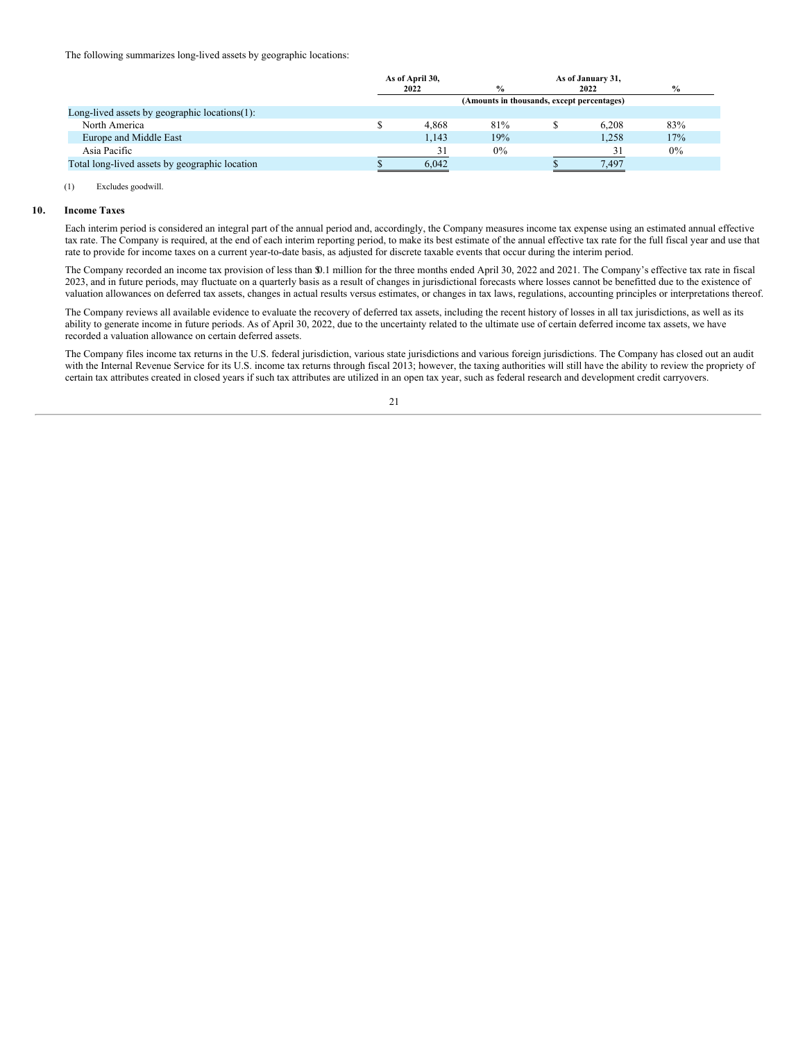The following summarizes long-lived assets by geographic locations:

|                                                   | As of April 30, |       |                                            | As of January 31, |      |  |
|---------------------------------------------------|-----------------|-------|--------------------------------------------|-------------------|------|--|
|                                                   |                 | 2022  | $\frac{0}{0}$                              | 2022              | $\%$ |  |
|                                                   |                 |       | (Amounts in thousands, except percentages) |                   |      |  |
| Long-lived assets by geographic locations $(1)$ : |                 |       |                                            |                   |      |  |
| North America                                     |                 | 4.868 | 81%                                        | 6.208             | 83%  |  |
| Europe and Middle East                            |                 | 1.143 | 19%                                        | 1.258             | 17%  |  |
| Asia Pacific                                      |                 | 31    | $0\%$                                      | 31                | 0%   |  |
| Total long-lived assets by geographic location    |                 | 6.042 |                                            | 7.497             |      |  |
|                                                   |                 |       |                                            |                   |      |  |

#### (1) Excludes goodwill.

### **10. Income Taxes**

Each interim period is considered an integral part of the annual period and, accordingly, the Company measures income tax expense using an estimated annual effective tax rate. The Company is required, at the end of each interim reporting period, to make its best estimate of the annual effective tax rate for the full fiscal year and use that rate to provide for income taxes on a current year-to-date basis, as adjusted for discrete taxable events that occur during the interim period.

The Company recorded an income tax provision of less than \$0.1 million for the three months ended April 30, 2022 and 2021. The Company's effective tax rate in fiscal 2023, and in future periods, may fluctuate on a quarterly basis as a result of changes in jurisdictional forecasts where losses cannot be benefitted due to the existence of valuation allowances on deferred tax assets, changes in actual results versus estimates, or changes in tax laws, regulations, accounting principles or interpretations thereof.

The Company reviews all available evidence to evaluate the recovery of deferred tax assets, including the recent history of losses in all tax jurisdictions, as well as its ability to generate income in future periods. As of April 30, 2022, due to the uncertainty related to the ultimate use of certain deferred income tax assets, we have recorded a valuation allowance on certain deferred assets.

The Company files income tax returns in the U.S. federal jurisdiction, various state jurisdictions and various foreign jurisdictions. The Company has closed out an audit with the Internal Revenue Service for its U.S. income tax returns through fiscal 2013; however, the taxing authorities will still have the ability to review the propriety of certain tax attributes created in closed years if such tax attributes are utilized in an open tax year, such as federal research and development credit carryovers.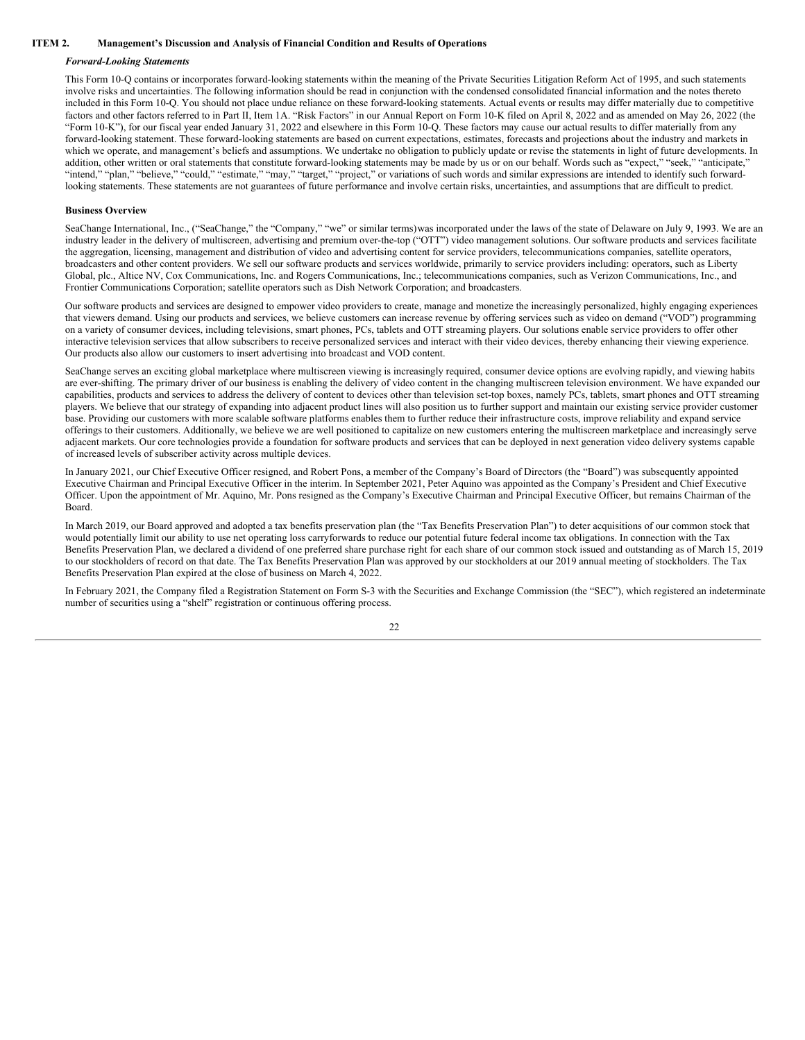### **ITEM 2. Management's Discussion and Analysis of Financial Condition and Results of Operations**

#### <span id="page-22-0"></span>*Forward-Looking Statements*

This Form 10-Q contains or incorporates forward-looking statements within the meaning of the Private Securities Litigation Reform Act of 1995, and such statements involve risks and uncertainties. The following information should be read in conjunction with the condensed consolidated financial information and the notes thereto included in this Form 10-Q. You should not place undue reliance on these forward-looking statements. Actual events or results may differ materially due to competitive factors and other factors referred to in Part II, Item 1A. "Risk Factors" in our Annual Report on Form 10-K filed on April 8, 2022 and as amended on May 26, 2022 (the "Form 10-K"), for our fiscal year ended January 31, 2022 and elsewhere in this Form 10-Q. These factors may cause our actual results to differ materially from any forward-looking statement. These forward-looking statements are based on current expectations, estimates, forecasts and projections about the industry and markets in which we operate, and management's beliefs and assumptions. We undertake no obligation to publicly update or revise the statements in light of future developments. In addition, other written or oral statements that constitute forward-looking statements may be made by us or on our behalf. Words such as "expect," "seek," "anticipate," "intend," "plan," "believe," "could," "estimate," "may," "target," "project," or variations of such words and similar expressions are intended to identify such forwardlooking statements. These statements are not guarantees of future performance and involve certain risks, uncertainties, and assumptions that are difficult to predict.

#### **Business Overview**

SeaChange International, Inc., ("SeaChange," the "Company," "we" or similar terms) was incorporated under the laws of the state of Delaware on July 9, 1993. We are an industry leader in the delivery of multiscreen, advertising and premium over-the-top ("OTT") video management solutions. Our software products and services facilitate the aggregation, licensing, management and distribution of video and advertising content for service providers, telecommunications companies, satellite operators, broadcasters and other content providers. We sell our software products and services worldwide, primarily to service providers including: operators, such as Liberty Global, plc., Altice NV, Cox Communications, Inc. and Rogers Communications, Inc.; telecommunications companies, such as Verizon Communications, Inc., and Frontier Communications Corporation; satellite operators such as Dish Network Corporation; and broadcasters.

Our software products and services are designed to empower video providers to create, manage and monetize the increasingly personalized, highly engaging experiences that viewers demand. Using our products and services, we believe customers can increase revenue by offering services such as video on demand ("VOD") programming on a variety of consumer devices, including televisions, smart phones, PCs, tablets and OTT streaming players. Our solutions enable service providers to offer other interactive television services that allow subscribers to receive personalized services and interact with their video devices, thereby enhancing their viewing experience. Our products also allow our customers to insert advertising into broadcast and VOD content.

SeaChange serves an exciting global marketplace where multiscreen viewing is increasingly required, consumer device options are evolving rapidly, and viewing habits are ever-shifting. The primary driver of our business is enabling the delivery of video content in the changing multiscreen television environment. We have expanded our capabilities, products and services to address the delivery of content to devices other than television set-top boxes, namely PCs, tablets, smart phones and OTT streaming players. We believe that our strategy of expanding into adjacent product lines will also position us to further support and maintain our existing service provider customer base. Providing our customers with more scalable software platforms enables them to further reduce their infrastructure costs, improve reliability and expand service offerings to their customers. Additionally, we believe we are well positioned to capitalize on new customers entering the multiscreen marketplace and increasingly serve adjacent markets. Our core technologies provide a foundation for software products and services that can be deployed in next generation video delivery systems capable of increased levels of subscriber activity across multiple devices.

In January 2021, our Chief Executive Officer resigned, and Robert Pons, a member of the Company's Board of Directors (the "Board") was subsequently appointed Executive Chairman and Principal Executive Officer in the interim. In September 2021, Peter Aquino was appointed as the Company's President and Chief Executive Officer. Upon the appointment of Mr. Aquino, Mr. Pons resigned as the Company's Executive Chairman and Principal Executive Officer, but remains Chairman of the Board.

In March 2019, our Board approved and adopted a tax benefits preservation plan (the "Tax Benefits Preservation Plan") to deter acquisitions of our common stock that would potentially limit our ability to use net operating loss carryforwards to reduce our potential future federal income tax obligations. In connection with the Tax Benefits Preservation Plan, we declared a dividend of one preferred share purchase right for each share of our common stock issued and outstanding as of March 15, 2019 to our stockholders of record on that date. The Tax Benefits Preservation Plan was approved by our stockholders at our 2019 annual meeting of stockholders. The Tax Benefits Preservation Plan expired at the close of business on March 4, 2022.

In February 2021, the Company filed a Registration Statement on Form S-3 with the Securities and Exchange Commission (the "SEC"), which registered an indeterminate number of securities using a "shelf" registration or continuous offering process.

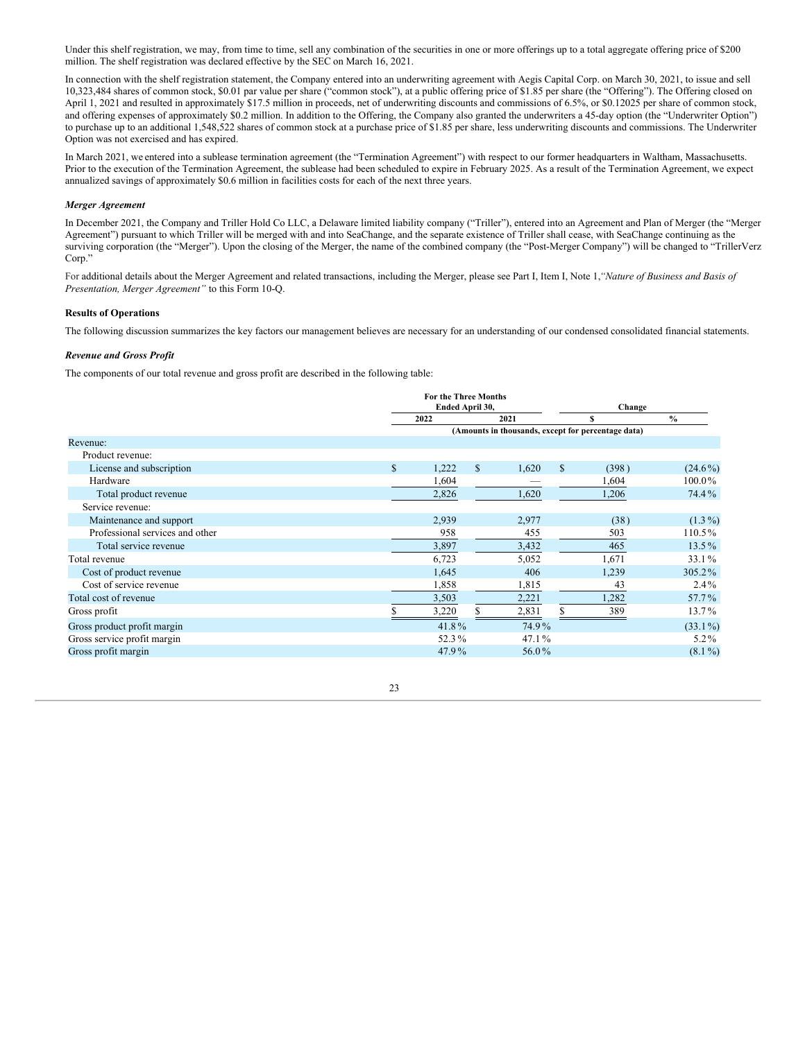Under this shelf registration, we may, from time to time, sell any combination of the securities in one or more offerings up to a total aggregate offering price of \$200 million. The shelf registration was declared effective by the SEC on March 16, 2021.

In connection with the shelf registration statement, the Company entered into an underwriting agreement with Aegis Capital Corp. on March 30, 2021, to issue and sell 10,323,484 shares of common stock, \$0.01 par value per share ("common stock"), at a public offering price of \$1.85 per share (the "Offering"). The Offering closed on April 1, 2021 and resulted in approximately \$17.5 million in proceeds, net of underwriting discounts and commissions of 6.5%, or \$0.12025 per share of common stock, and offering expenses of approximately \$0.2 million. In addition to the Offering, the Company also granted the underwriters a 45-day option (the "Underwriter Option") to purchase up to an additional 1,548,522 shares of common stock at a purchase price of \$1.85 per share, less underwriting discounts and commissions. The Underwriter Option was not exercised and has expired.

In March 2021, we entered into a sublease termination agreement (the "Termination Agreement") with respect to our former headquarters in Waltham, Massachusetts. Prior to the execution of the Termination Agreement, the sublease had been scheduled to expire in February 2025. As a result of the Termination Agreement, we expect annualized savings of approximately \$0.6 million in facilities costs for each of the next three years.

### *Merger Agreement*

In December 2021, the Company and Triller Hold Co LLC, a Delaware limited liability company ("Triller"), entered into an Agreement and Plan of Merger (the "Merger Agreement") pursuant to which Triller will be merged with and into SeaChange, and the separate existence of Triller shall cease, with SeaChange continuing as the surviving corporation (the "Merger"). Upon the closing of the Merger, the name of the combined company (the "Post-Merger Company") will be changed to "TrillerVerz Corp."

For additional details about the Merger Agreement and related transactions, including the Merger, please see Part I, Item I, Note 1,*"Nature of Business and Basis of Presentation, Merger Agreement"* to this Form 10-Q.

### **Results of Operations**

The following discussion summarizes the key factors our management believes are necessary for an understanding of our condensed consolidated financial statements.

### *Revenue and Gross Profit*

The components of our total revenue and gross profit are described in the following table:

|                                 |              | <b>For the Three Months</b><br>Ended April 30, |              |       |   | Change                                             |               |  |
|---------------------------------|--------------|------------------------------------------------|--------------|-------|---|----------------------------------------------------|---------------|--|
|                                 |              | 2022                                           |              | 2021  |   |                                                    | $\frac{0}{0}$ |  |
|                                 |              |                                                |              |       |   | (Amounts in thousands, except for percentage data) |               |  |
| Revenue:                        |              |                                                |              |       |   |                                                    |               |  |
| Product revenue:                |              |                                                |              |       |   |                                                    |               |  |
| License and subscription        | $\mathbb{S}$ | 1,222                                          | $\mathbb{S}$ | 1,620 | S | (398)                                              | $(24.6\%)$    |  |
| Hardware                        |              | 1,604                                          |              |       |   | 1,604                                              | 100.0%        |  |
| Total product revenue           |              | 2,826                                          |              | 1,620 |   | 1,206                                              | 74.4%         |  |
| Service revenue:                |              |                                                |              |       |   |                                                    |               |  |
| Maintenance and support         |              | 2,939                                          |              | 2,977 |   | (38)                                               | $(1.3\%)$     |  |
| Professional services and other |              | 958                                            |              | 455   |   | 503                                                | 110.5%        |  |
| Total service revenue           |              | 3,897                                          |              | 3,432 |   | 465                                                | $13.5\%$      |  |
| Total revenue                   |              | 6,723                                          |              | 5,052 |   | 1,671                                              | 33.1%         |  |
| Cost of product revenue         |              | 1,645                                          |              | 406   |   | 1,239                                              | 305.2%        |  |
| Cost of service revenue         |              | 1,858                                          |              | 1,815 |   | 43                                                 | $2.4\%$       |  |
| Total cost of revenue           |              | 3,503                                          |              | 2,221 |   | 1,282                                              | 57.7%         |  |
| Gross profit                    |              | 3,220                                          |              | 2,831 |   | 389                                                | 13.7%         |  |
| Gross product profit margin     |              | 41.8%                                          |              | 74.9% |   |                                                    | $(33.1\%)$    |  |
| Gross service profit margin     |              | 52.3%                                          |              | 47.1% |   |                                                    | $5.2\%$       |  |
| Gross profit margin             |              | 47.9%                                          |              | 56.0% |   |                                                    | $(8.1\%)$     |  |

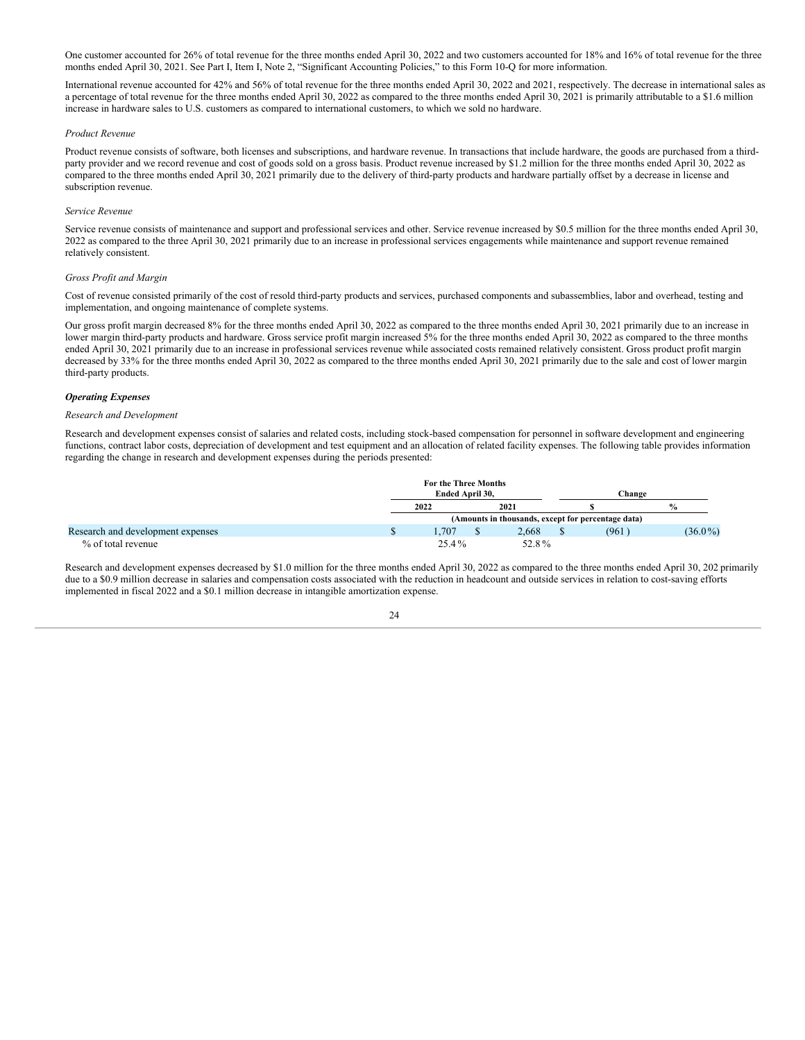One customer accounted for 26% of total revenue for the three months ended April 30, 2022 and two customers accounted for 18% and 16% of total revenue for the three months ended April 30, 2021. See Part I, Item I, Note 2, "Significant Accounting Policies," to this Form 10-Q for more information.

International revenue accounted for 42% and 56% of total revenue for the three months ended April 30, 2022 and 2021, respectively. The decrease in international sales as a percentage of total revenue for the three months ended April 30, 2022 as compared to the three months ended April 30, 2021 is primarily attributable to a \$1.6 million increase in hardware sales to U.S. customers as compared to international customers, to which we sold no hardware.

#### *Product Revenue*

Product revenue consists of software, both licenses and subscriptions, and hardware revenue. In transactions that include hardware, the goods are purchased from a thirdparty provider and we record revenue and cost of goods sold on a gross basis. Product revenue increased by \$1.2 million for the three months ended April 30, 2022 as compared to the three months ended April 30, 2021 primarily due to the delivery of third-party products and hardware partially offset by a decrease in license and subscription revenue.

#### *Service Revenue*

Service revenue consists of maintenance and support and professional services and other. Service revenue increased by \$0.5 million for the three months ended April 30, 2022 as compared to the three April 30, 2021 primarily due to an increase in professional services engagements while maintenance and support revenue remained relatively consistent.

#### *Gross Profit and Margin*

Cost of revenue consisted primarily of the cost of resold third-party products and services, purchased components and subassemblies, labor and overhead, testing and implementation, and ongoing maintenance of complete systems.

Our gross profit margin decreased 8% for the three months ended April 30, 2022 as compared to the three months ended April 30, 2021 primarily due to an increase in lower margin third-party products and hardware. Gross service profit margin increased 5% for the three months ended April 30, 2022 as compared to the three months ended April 30, 2021 primarily due to an increase in professional services revenue while associated costs remained relatively consistent. Gross product profit margin decreased by 33% for the three months ended April 30, 2022 as compared to the three months ended April 30, 2021 primarily due to the sale and cost of lower margin third-party products.

### *Operating Expenses*

#### *Research and Development*

Research and development expenses consist of salaries and related costs, including stock-based compensation for personnel in software development and engineering functions, contract labor costs, depreciation of development and test equipment and an allocation of related facility expenses. The following table provides information regarding the change in research and development expenses during the periods presented:

|                                   | For the Three Months<br>Ended April 30, |       | Change                                             |               |
|-----------------------------------|-----------------------------------------|-------|----------------------------------------------------|---------------|
|                                   | 2022                                    | 2021  |                                                    | $\frac{0}{0}$ |
|                                   |                                         |       | (Amounts in thousands, except for percentage data) |               |
| Research and development expenses | .707                                    | 2.668 | (961)                                              | $(36.0\%)$    |
| % of total revenue                | 25.4%                                   | 52.8% |                                                    |               |

Research and development expenses decreased by \$1.0 million for the three months ended April 30, 2022 as compared to the three months ended April 30, 202 primarily due to a \$0.9 million decrease in salaries and compensation costs associated with the reduction in headcount and outside services in relation to cost-saving efforts implemented in fiscal 2022 and a \$0.1 million decrease in intangible amortization expense.

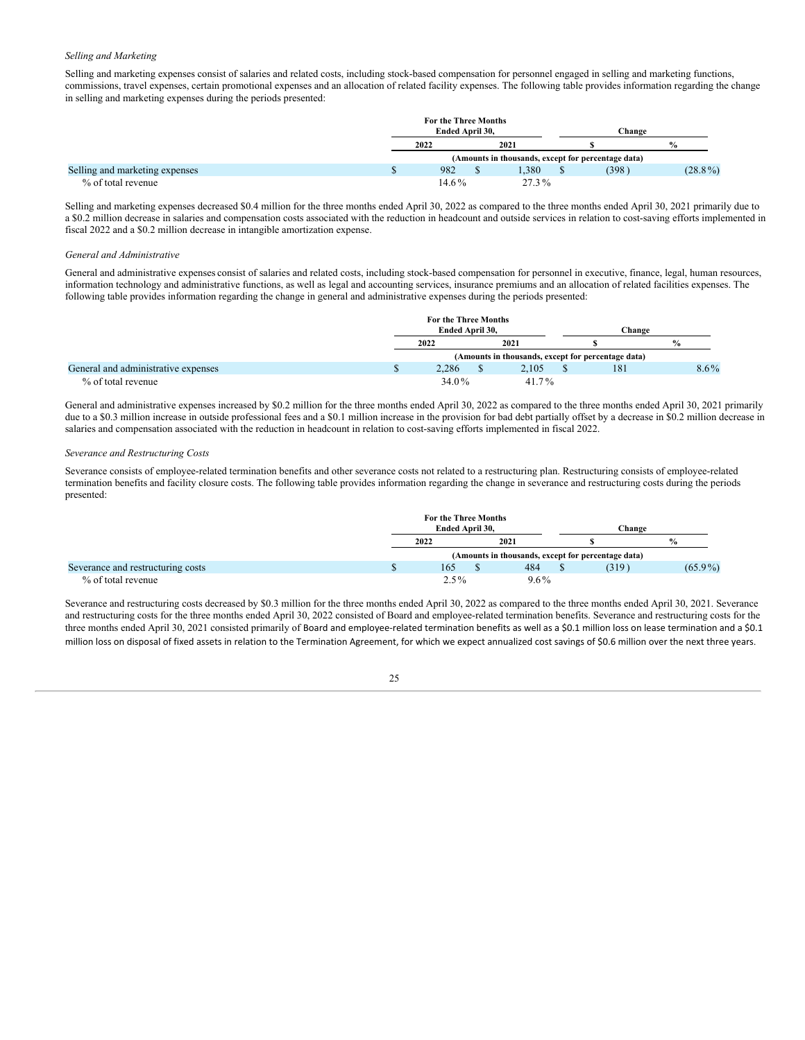### *Selling and Marketing*

Selling and marketing expenses consist of salaries and related costs, including stock-based compensation for personnel engaged in selling and marketing functions, commissions, travel expenses, certain promotional expenses and an allocation of related facility expenses. The following table provides information regarding the change in selling and marketing expenses during the periods presented:

|                                | For the Three Months |  |          |        |                                                    |               |
|--------------------------------|----------------------|--|----------|--------|----------------------------------------------------|---------------|
|                                | Ended April 30.      |  |          | Change |                                                    |               |
|                                | 2022                 |  | 2021     |        |                                                    | $\frac{0}{0}$ |
|                                |                      |  |          |        | (Amounts in thousands, except for percentage data) |               |
| Selling and marketing expenses | 982                  |  | .380     |        | (398)                                              | $(28.8\%)$    |
| % of total revenue             | $14.6\%$             |  | $27.3\%$ |        |                                                    |               |

Selling and marketing expenses decreased \$0.4 million for the three months ended April 30, 2022 as compared to the three months ended April 30, 2021 primarily due to a \$0.2 million decrease in salaries and compensation costs associated with the reduction in headcount and outside services in relation to cost-saving efforts implemented in fiscal 2022 and a \$0.2 million decrease in intangible amortization expense.

#### *General and Administrative*

General and administrative expenses consist of salaries and related costs, including stock-based compensation for personnel in executive, finance, legal, human resources, information technology and administrative functions, as well as legal and accounting services, insurance premiums and an allocation of related facilities expenses. The following table provides information regarding the change in general and administrative expenses during the periods presented:

|                                     | For the Three Months<br>Ended April 30, |          | Change                                             |               |
|-------------------------------------|-----------------------------------------|----------|----------------------------------------------------|---------------|
|                                     | 2022                                    | 2021     |                                                    | $\frac{0}{0}$ |
|                                     |                                         |          | (Amounts in thousands, except for percentage data) |               |
| General and administrative expenses | 2.286                                   | 2.105    | 181                                                | $8.6\%$       |
| % of total revenue                  | 34.0%                                   | $41.7\%$ |                                                    |               |

General and administrative expenses increased by \$0.2 million for the three months ended April 30, 2022 as compared to the three months ended April 30, 2021 primarily due to a \$0.3 million increase in outside professional fees and a \$0.1 million increase in the provision for bad debt partially offset by a decrease in \$0.2 million decrease in salaries and compensation associated with the reduction in headcount in relation to cost-saving efforts implemented in fiscal 2022.

### *Severance and Restructuring Costs*

Severance consists of employee-related termination benefits and other severance costs not related to a restructuring plan. Restructuring consists of employee-related termination benefits and facility closure costs. The following table provides information regarding the change in severance and restructuring costs during the periods presented:

|                                   | For the Three Months |  |         |        |                                                    |               |
|-----------------------------------|----------------------|--|---------|--------|----------------------------------------------------|---------------|
|                                   | Ended April 30.      |  |         | Change |                                                    |               |
|                                   | 2022                 |  | 2021    |        |                                                    | $\frac{0}{0}$ |
|                                   |                      |  |         |        | (Amounts in thousands, except for percentage data) |               |
| Severance and restructuring costs | 165                  |  | 484     |        | (319)                                              | $(65.9\%)$    |
| % of total revenue                | $2.5\%$              |  | $9.6\%$ |        |                                                    |               |

Severance and restructuring costs decreased by \$0.3 million for the three months ended April 30, 2022 as compared to the three months ended April 30, 2021. Severance and restructuring costs for the three months ended April 30, 2022 consisted of Board and employee-related termination benefits. Severance and restructuring costs for the three months ended April 30, 2021 consisted primarily of Board and employee-related termination benefits as well as a \$0.1 million loss on lease termination and a \$0.1 million loss on disposal of fixed assets in relation to the Termination Agreement, for which we expect annualized cost savings of \$0.6 million over the next three years.

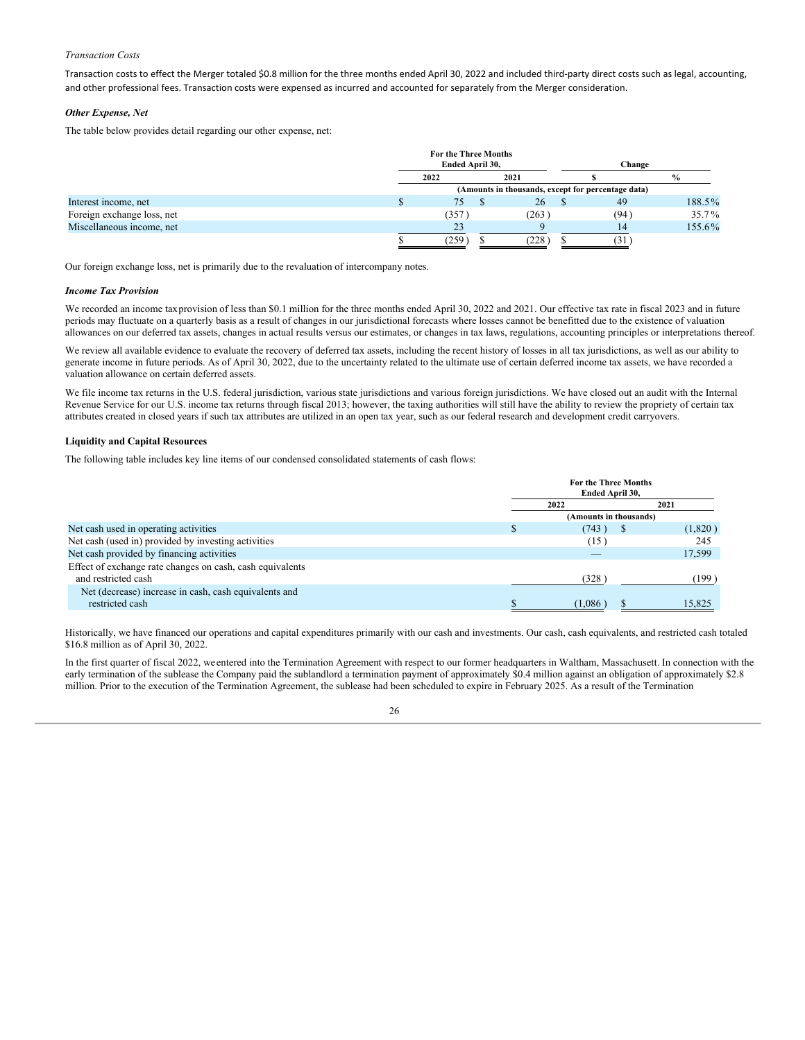### *Transaction Costs*

Transaction costs to effect the Merger totaled \$0.8 million for the three months ended April 30, 2022 and included third-party direct costs such as legal, accounting, and other professional fees. Transaction costs were expensed as incurred and accounted for separately from the Merger consideration.

### *Other Expense, Net*

The table below provides detail regarding our other expense, net:

|                            | For the Three Months |                                                    |        |               |
|----------------------------|----------------------|----------------------------------------------------|--------|---------------|
|                            | Ended April 30,      |                                                    | Change |               |
|                            | 2022                 | 2021                                               |        | $\frac{0}{0}$ |
|                            |                      | (Amounts in thousands, except for percentage data) |        |               |
| Interest income, net       | 75                   | 26                                                 | 49     | 188.5%        |
| Foreign exchange loss, net | (357)                | (263)                                              | (94)   | 35.7%         |
| Miscellaneous income, net  | 23                   |                                                    | 14     | 155.6%        |
|                            | 259                  | (228)                                              | 51     |               |

Our foreign exchange loss, net is primarily due to the revaluation of intercompany notes.

### *Income Tax Provision*

We recorded an income taxprovision of less than \$0.1 million for the three months ended April 30, 2022 and 2021. Our effective tax rate in fiscal 2023 and in future periods may fluctuate on a quarterly basis as a result of changes in our jurisdictional forecasts where losses cannot be benefitted due to the existence of valuation allowances on our deferred tax assets, changes in actual results versus our estimates, or changes in tax laws, regulations, accounting principles or interpretations thereof.

We review all available evidence to evaluate the recovery of deferred tax assets, including the recent history of losses in all tax jurisdictions, as well as our ability to generate income in future periods. As of April 30, 2022, due to the uncertainty related to the ultimate use of certain deferred income tax assets, we have recorded a valuation allowance on certain deferred assets.

We file income tax returns in the U.S. federal jurisdiction, various state jurisdictions and various foreign jurisdictions. We have closed out an audit with the Internal Revenue Service for our U.S. income tax returns through fiscal 2013; however, the taxing authorities will still have the ability to review the propriety of certain tax attributes created in closed years if such tax attributes are utilized in an open tax year, such as our federal research and development credit carryovers.

### **Liquidity and Capital Resources**

The following table includes key line items of our condensed consolidated statements of cash flows:

|                                                           | <b>For the Three Months</b><br>Ended April 30, |         |  |  |  |  |
|-----------------------------------------------------------|------------------------------------------------|---------|--|--|--|--|
|                                                           | 2022                                           | 2021    |  |  |  |  |
|                                                           | (Amounts in thousands)                         |         |  |  |  |  |
| Net cash used in operating activities                     | (743)<br>S                                     | (1,820) |  |  |  |  |
| Net cash (used in) provided by investing activities       | (15)                                           | 245     |  |  |  |  |
| Net cash provided by financing activities                 | $\overline{\phantom{a}}$                       | 17,599  |  |  |  |  |
| Effect of exchange rate changes on cash, cash equivalents |                                                |         |  |  |  |  |
| and restricted cash                                       | (328)                                          | (199 )  |  |  |  |  |
| Net (decrease) increase in cash, cash equivalents and     |                                                |         |  |  |  |  |
| restricted cash                                           | (1,086)                                        | 15,825  |  |  |  |  |
|                                                           |                                                |         |  |  |  |  |

Historically, we have financed our operations and capital expenditures primarily with our cash and investments. Our cash, cash equivalents, and restricted cash totaled \$16.8 million as of April 30, 2022.

In the first quarter of fiscal 2022, we entered into the Termination Agreement with respect to our former headquarters in Waltham, Massachusett. In connection with the early termination of the sublease the Company paid the sublandlord a termination payment of approximately \$0.4 million against an obligation of approximately \$2.8 million. Prior to the execution of the Termination Agreement, the sublease had been scheduled to expire in February 2025. As a result of the Termination

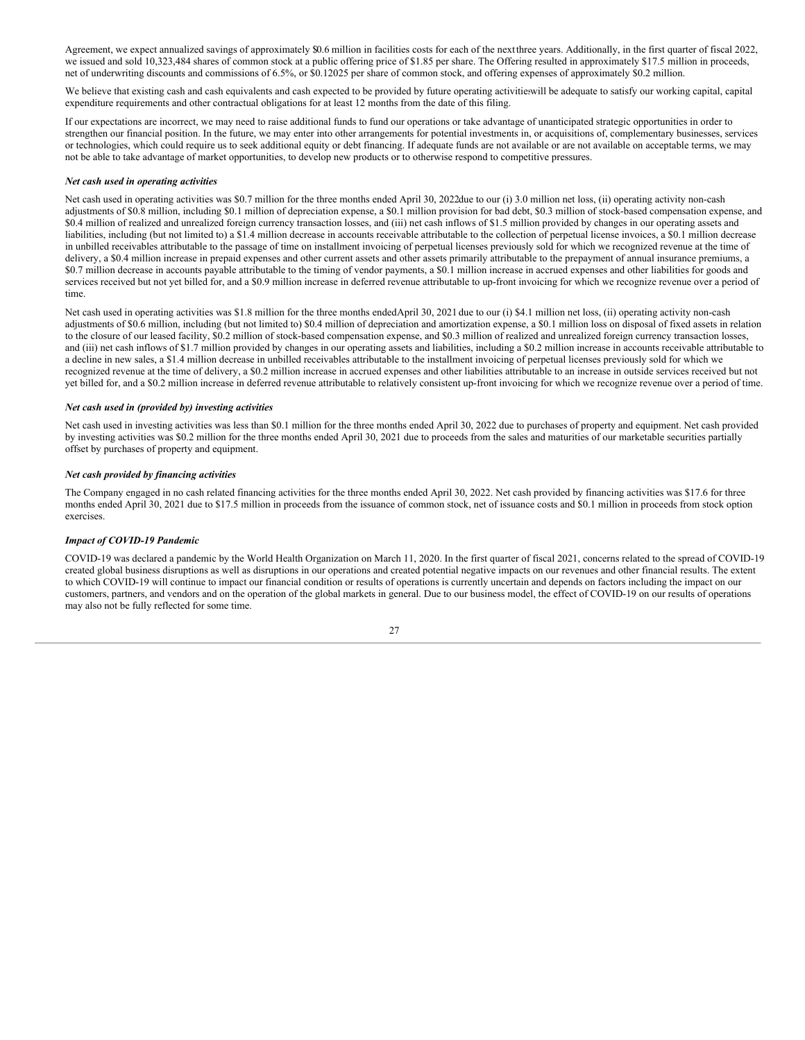Agreement, we expect annualized savings of approximately \$0.6 million in facilities costs for each of the nextthree years. Additionally, in the first quarter of fiscal 2022, we issued and sold 10,323,484 shares of common stock at a public offering price of \$1.85 per share. The Offering resulted in approximately \$17.5 million in proceeds, net of underwriting discounts and commissions of 6.5%, or \$0.12025 per share of common stock, and offering expenses of approximately \$0.2 million.

We believe that existing cash and cash equivalents and cash expected to be provided by future operating activities ill be adequate to satisfy our working capital, capital expenditure requirements and other contractual obligations for at least 12 months from the date of this filing.

If our expectations are incorrect, we may need to raise additional funds to fund our operations or take advantage of unanticipated strategic opportunities in order to strengthen our financial position. In the future, we may enter into other arrangements for potential investments in, or acquisitions of, complementary businesses, services or technologies, which could require us to seek additional equity or debt financing. If adequate funds are not available or are not available on acceptable terms, we may not be able to take advantage of market opportunities, to develop new products or to otherwise respond to competitive pressures.

### *Net cash used in operating activities*

Net cash used in operating activities was \$0.7 million for the three months ended April 30, 2022due to our (i) 3.0 million net loss, (ii) operating activity non-cash adjustments of \$0.8 million, including \$0.1 million of depreciation expense, a \$0.1 million provision for bad debt, \$0.3 million of stock-based compensation expense, and \$0.4 million of realized and unrealized foreign currency transaction losses, and (iii) net cash inflows of \$1.5 million provided by changes in our operating assets and liabilities, including (but not limited to) a \$1.4 million decrease in accounts receivable attributable to the collection of perpetual license invoices, a \$0.1 million decrease in unbilled receivables attributable to the passage of time on installment invoicing of perpetual licenses previously sold for which we recognized revenue at the time of delivery, a \$0.4 million increase in prepaid expenses and other current assets and other assets primarily attributable to the prepayment of annual insurance premiums, a \$0.7 million decrease in accounts payable attributable to the timing of vendor payments, a \$0.1 million increase in accrued expenses and other liabilities for goods and services received but not yet billed for, and a \$0.9 million increase in deferred revenue attributable to up-front invoicing for which we recognize revenue over a period of time.

Net cash used in operating activities was \$1.8 million for the three months endedApril 30, 2021 due to our (i) \$4.1 million net loss, (ii) operating activity non-cash adjustments of \$0.6 million, including (but not limited to) \$0.4 million of depreciation and amortization expense, a \$0.1 million loss on disposal of fixed assets in relation to the closure of our leased facility, \$0.2 million of stock-based compensation expense, and \$0.3 million of realized and unrealized foreign currency transaction losses, and (iii) net cash inflows of \$1.7 million provided by changes in our operating assets and liabilities, including a \$0.2 million increase in accounts receivable attributable to a decline in new sales, a \$1.4 million decrease in unbilled receivables attributable to the installment invoicing of perpetual licenses previously sold for which we recognized revenue at the time of delivery, a \$0.2 million increase in accrued expenses and other liabilities attributable to an increase in outside services received but not yet billed for, and a \$0.2 million increase in deferred revenue attributable to relatively consistent up-front invoicing for which we recognize revenue over a period of time.

### *Net cash used in (provided by) investing activities*

Net cash used in investing activities was less than \$0.1 million for the three months ended April 30, 2022 due to purchases of property and equipment. Net cash provided by investing activities was \$0.2 million for the three months ended April 30, 2021 due to proceeds from the sales and maturities of our marketable securities partially offset by purchases of property and equipment.

### *Net cash provided by financing activities*

The Company engaged in no cash related financing activities for the three months ended April 30, 2022. Net cash provided by financing activities was \$17.6 for three months ended April 30, 2021 due to \$17.5 million in proceeds from the issuance of common stock, net of issuance costs and \$0.1 million in proceeds from stock option exercises.

### *Impact of COVID-19 Pandemic*

COVID-19 was declared a pandemic by the World Health Organization on March 11, 2020. In the first quarter of fiscal 2021, concerns related to the spread of COVID-19 created global business disruptions as well as disruptions in our operations and created potential negative impacts on our revenues and other financial results. The extent to which COVID-19 will continue to impact our financial condition or results of operations is currently uncertain and depends on factors including the impact on our customers, partners, and vendors and on the operation of the global markets in general. Due to our business model, the effect of COVID-19 on our results of operations may also not be fully reflected for some time.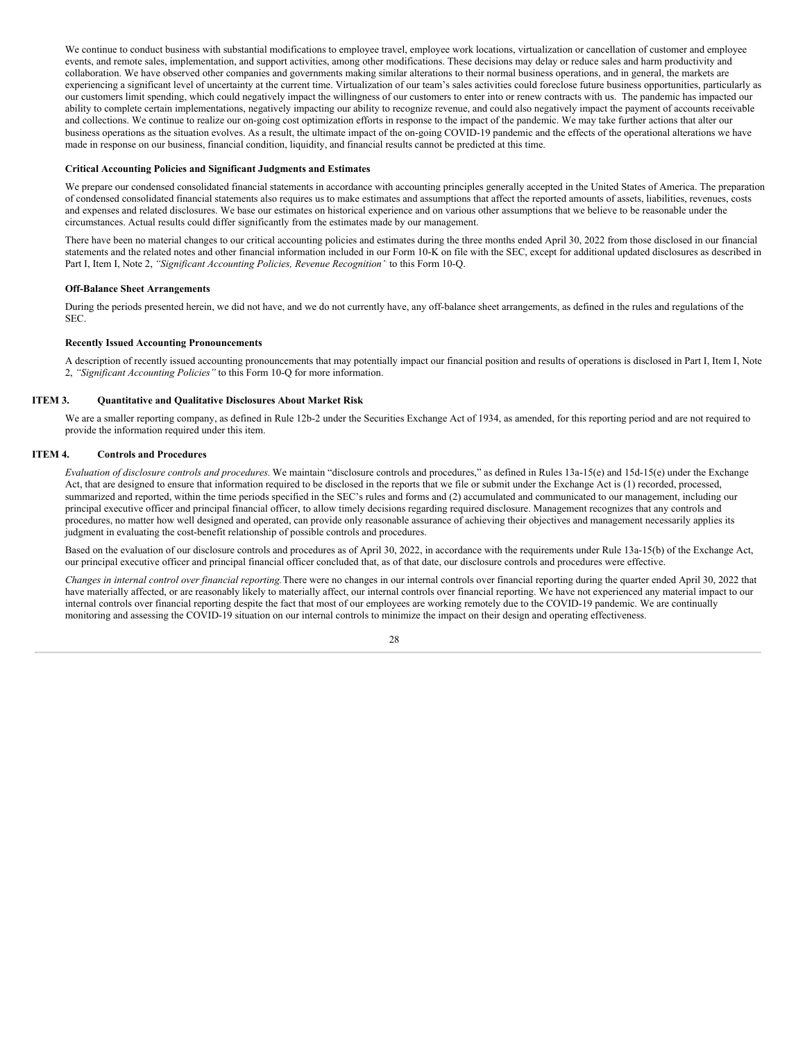We continue to conduct business with substantial modifications to employee travel, employee work locations, virtualization or cancellation of customer and employee events, and remote sales, implementation, and support activities, among other modifications. These decisions may delay or reduce sales and harm productivity and collaboration. We have observed other companies and governments making similar alterations to their normal business operations, and in general, the markets are experiencing a significant level of uncertainty at the current time. Virtualization of our team's sales activities could foreclose future business opportunities, particularly as our customers limit spending, which could negatively impact the willingness of our customers to enter into or renew contracts with us. The pandemic has impacted our ability to complete certain implementations, negatively impacting our ability to recognize revenue, and could also negatively impact the payment of accounts receivable and collections. We continue to realize our on-going cost optimization efforts in response to the impact of the pandemic. We may take further actions that alter our business operations as the situation evolves. As a result, the ultimate impact of the on-going COVID-19 pandemic and the effects of the operational alterations we have made in response on our business, financial condition, liquidity, and financial results cannot be predicted at this time.

### **Critical Accounting Policies and Significant Judgments and Estimates**

We prepare our condensed consolidated financial statements in accordance with accounting principles generally accepted in the United States of America. The preparation of condensed consolidated financial statements also requires us to make estimates and assumptions that affect the reported amounts of assets, liabilities, revenues, costs and expenses and related disclosures. We base our estimates on historical experience and on various other assumptions that we believe to be reasonable under the circumstances. Actual results could differ significantly from the estimates made by our management.

There have been no material changes to our critical accounting policies and estimates during the three months ended April 30, 2022 from those disclosed in our financial statements and the related notes and other financial information included in our Form 10-K on file with the SEC, except for additional updated disclosures as described in Part I, Item I, Note 2, *"Significant Accounting Policies, Revenue Recognition"* to this Form 10-Q.

### **Off-Balance Sheet Arrangements**

During the periods presented herein, we did not have, and we do not currently have, any off-balance sheet arrangements, as defined in the rules and regulations of the SEC.

### **Recently Issued Accounting Pronouncements**

A description of recently issued accounting pronouncements that may potentially impact our financial position and results of operations is disclosed in Part I, Item I, Note 2, *"Significant Accounting Policies"* to this Form 10-Q for more information.

#### **ITEM 3. Quantitative and Qualitative Disclosures About Market Risk**

<span id="page-28-0"></span>We are a smaller reporting company, as defined in Rule 12b-2 under the Securities Exchange Act of 1934, as amended, for this reporting period and are not required to provide the information required under this item.

### **ITEM 4. Controls and Procedures**

<span id="page-28-1"></span>*Evaluation of disclosure controls and procedures.* We maintain "disclosure controls and procedures," as defined in Rules 13a‑15(e) and 15d‑15(e) under the Exchange Act, that are designed to ensure that information required to be disclosed in the reports that we file or submit under the Exchange Act is (1) recorded, processed, summarized and reported, within the time periods specified in the SEC's rules and forms and (2) accumulated and communicated to our management, including our principal executive officer and principal financial officer, to allow timely decisions regarding required disclosure. Management recognizes that any controls and procedures, no matter how well designed and operated, can provide only reasonable assurance of achieving their objectives and management necessarily applies its judgment in evaluating the cost-benefit relationship of possible controls and procedures.

Based on the evaluation of our disclosure controls and procedures as of April 30, 2022, in accordance with the requirements under Rule 13a-15(b) of the Exchange Act, our principal executive officer and principal financial officer concluded that, as of that date, our disclosure controls and procedures were effective.

*Changes in internal control over financial reporting.*There were no changes in our internal controls over financial reporting during the quarter ended April 30, 2022 that have materially affected, or are reasonably likely to materially affect, our internal controls over financial reporting. We have not experienced any material impact to our internal controls over financial reporting despite the fact that most of our employees are working remotely due to the COVID-19 pandemic. We are continually monitoring and assessing the COVID-19 situation on our internal controls to minimize the impact on their design and operating effectiveness.

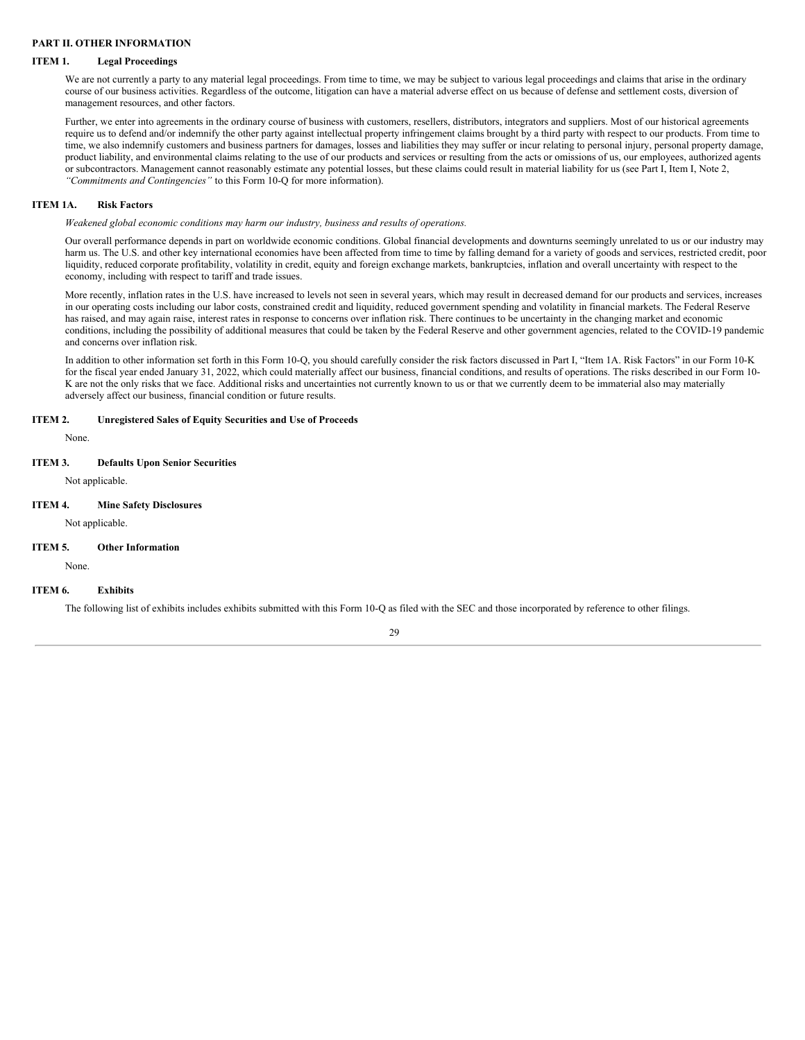### <span id="page-29-0"></span>**PART II. OTHER INFORMATION**

#### **ITEM 1. Legal Proceedings**

<span id="page-29-1"></span>We are not currently a party to any material legal proceedings. From time to time, we may be subject to various legal proceedings and claims that arise in the ordinary course of our business activities. Regardless of the outcome, litigation can have a material adverse effect on us because of defense and settlement costs, diversion of management resources, and other factors.

Further, we enter into agreements in the ordinary course of business with customers, resellers, distributors, integrators and suppliers. Most of our historical agreements require us to defend and/or indemnify the other party against intellectual property infringement claims brought by a third party with respect to our products. From time to time, we also indemnify customers and business partners for damages, losses and liabilities they may suffer or incur relating to personal injury, personal property damage, product liability, and environmental claims relating to the use of our products and services or resulting from the acts or omissions of us, our employees, authorized agents or subcontractors. Management cannot reasonably estimate any potential losses, but these claims could result in material liability for us (see Part I, Item I, Note 2, *"Commitments and Contingencies"* to this Form 10-Q for more information).

### **ITEM 1A. Risk Factors**

<span id="page-29-2"></span>*Weakened global economic conditions may harm our industry, business and results of operations.*

Our overall performance depends in part on worldwide economic conditions. Global financial developments and downturns seemingly unrelated to us or our industry may harm us. The U.S. and other key international economies have been affected from time to time by falling demand for a variety of goods and services, restricted credit, poor liquidity, reduced corporate profitability, volatility in credit, equity and foreign exchange markets, bankruptcies, inflation and overall uncertainty with respect to the economy, including with respect to tariff and trade issues.

More recently, inflation rates in the U.S. have increased to levels not seen in several years, which may result in decreased demand for our products and services, increases in our operating costs including our labor costs, constrained credit and liquidity, reduced government spending and volatility in financial markets. The Federal Reserve has raised, and may again raise, interest rates in response to concerns over inflation risk. There continues to be uncertainty in the changing market and economic conditions, including the possibility of additional measures that could be taken by the Federal Reserve and other government agencies, related to the COVID-19 pandemic and concerns over inflation risk.

In addition to other information set forth in this Form 10-Q, you should carefully consider the risk factors discussed in Part I, "Item 1A. Risk Factors" in our Form 10-K for the fiscal year ended January 31, 2022, which could materially affect our business, financial conditions, and results of operations. The risks described in our Form 10- K are not the only risks that we face. Additional risks and uncertainties not currently known to us or that we currently deem to be immaterial also may materially adversely affect our business, financial condition or future results.

### **ITEM 2. Unregistered Sales of Equity Securities and Use of Proceeds**

<span id="page-29-3"></span>None.

### **ITEM 3. Defaults Upon Senior Securities**

<span id="page-29-5"></span><span id="page-29-4"></span>Not applicable.

### **ITEM 4. Mine Safety Disclosures**

Not applicable.

### **ITEM 5. Other Information**

<span id="page-29-6"></span>None.

### **ITEM 6. Exhibits**

<span id="page-29-7"></span>The following list of exhibits includes exhibits submitted with this Form 10-Q as filed with the SEC and those incorporated by reference to other filings.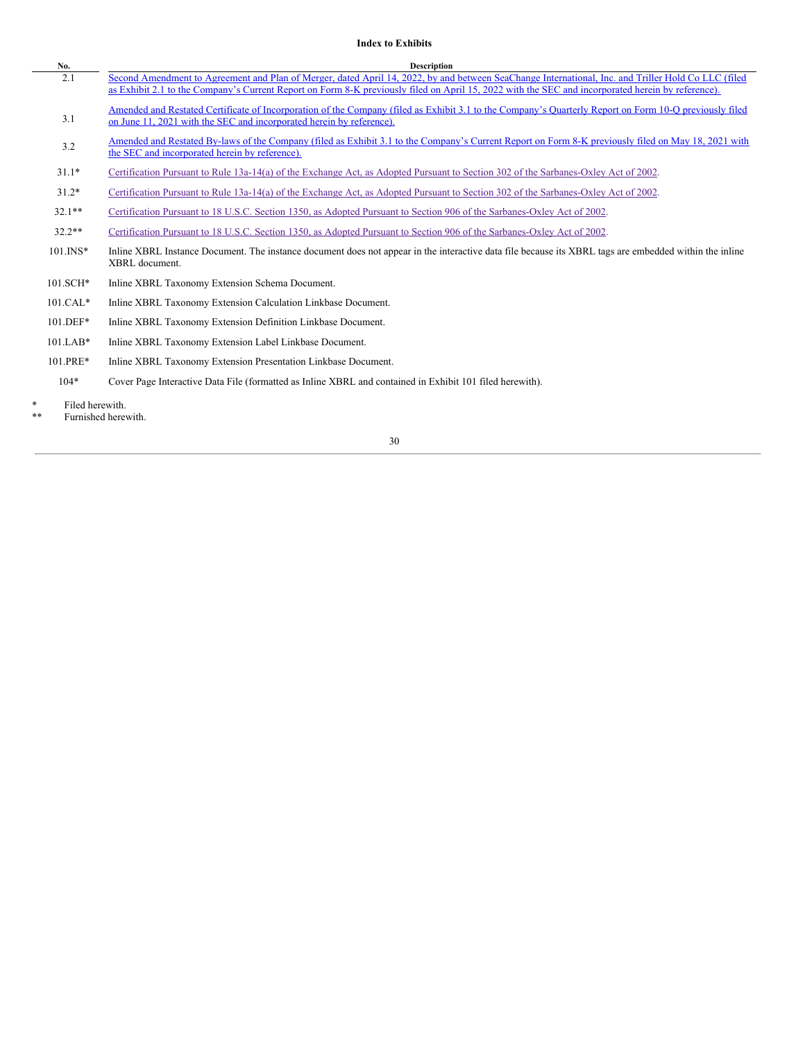### **Index to Exhibits**

| No.          | <b>Description</b>                                                                                                                                                                                                                                                                                       |
|--------------|----------------------------------------------------------------------------------------------------------------------------------------------------------------------------------------------------------------------------------------------------------------------------------------------------------|
| 2.1          | Second Amendment to Agreement and Plan of Merger, dated April 14, 2022, by and between SeaChange International, Inc. and Triller Hold Co LLC (filed<br>as Exhibit 2.1 to the Company's Current Report on Form 8-K previously filed on April 15, 2022 with the SEC and incorporated herein by reference). |
| 3.1          | Amended and Restated Certificate of Incorporation of the Company (filed as Exhibit 3.1 to the Company's Quarterly Report on Form 10-Q previously filed<br>on June 11, 2021 with the SEC and incorporated herein by reference).                                                                           |
| 3.2          | Amended and Restated By-laws of the Company (filed as Exhibit 3.1 to the Company's Current Report on Form 8-K previously filed on May 18, 2021 with<br>the SEC and incorporated herein by reference).                                                                                                    |
| $31.1*$      | Certification Pursuant to Rule 13a-14(a) of the Exchange Act, as Adopted Pursuant to Section 302 of the Sarbanes-Oxley Act of 2002.                                                                                                                                                                      |
| $31.2*$      | Certification Pursuant to Rule 13a-14(a) of the Exchange Act, as Adopted Pursuant to Section 302 of the Sarbanes-Oxley Act of 2002.                                                                                                                                                                      |
| $32.1**$     | Certification Pursuant to 18 U.S.C. Section 1350, as Adopted Pursuant to Section 906 of the Sarbanes-Oxley Act of 2002.                                                                                                                                                                                  |
| $32.2**$     | Certification Pursuant to 18 U.S.C. Section 1350, as Adopted Pursuant to Section 906 of the Sarbanes-Oxley Act of 2002.                                                                                                                                                                                  |
| $101$ . INS* | Inline XBRL Instance Document. The instance document does not appear in the interactive data file because its XBRL tags are embedded within the inline<br>XBRL document.                                                                                                                                 |
| $101.SCH*$   | Inline XBRL Taxonomy Extension Schema Document.                                                                                                                                                                                                                                                          |
| $101.CAL*$   | Inline XBRL Taxonomy Extension Calculation Linkbase Document.                                                                                                                                                                                                                                            |
| 101.DEF*     | Inline XBRL Taxonomy Extension Definition Linkbase Document.                                                                                                                                                                                                                                             |
| $101.LAB*$   | Inline XBRL Taxonomy Extension Label Linkbase Document.                                                                                                                                                                                                                                                  |
| 101.PRE*     | Inline XBRL Taxonomy Extension Presentation Linkbase Document.                                                                                                                                                                                                                                           |
| $104*$       | Cover Page Interactive Data File (formatted as Inline XBRL and contained in Exhibit 101 filed herewith).                                                                                                                                                                                                 |
|              |                                                                                                                                                                                                                                                                                                          |

- \* Filed herewith.
- Furnished herewith.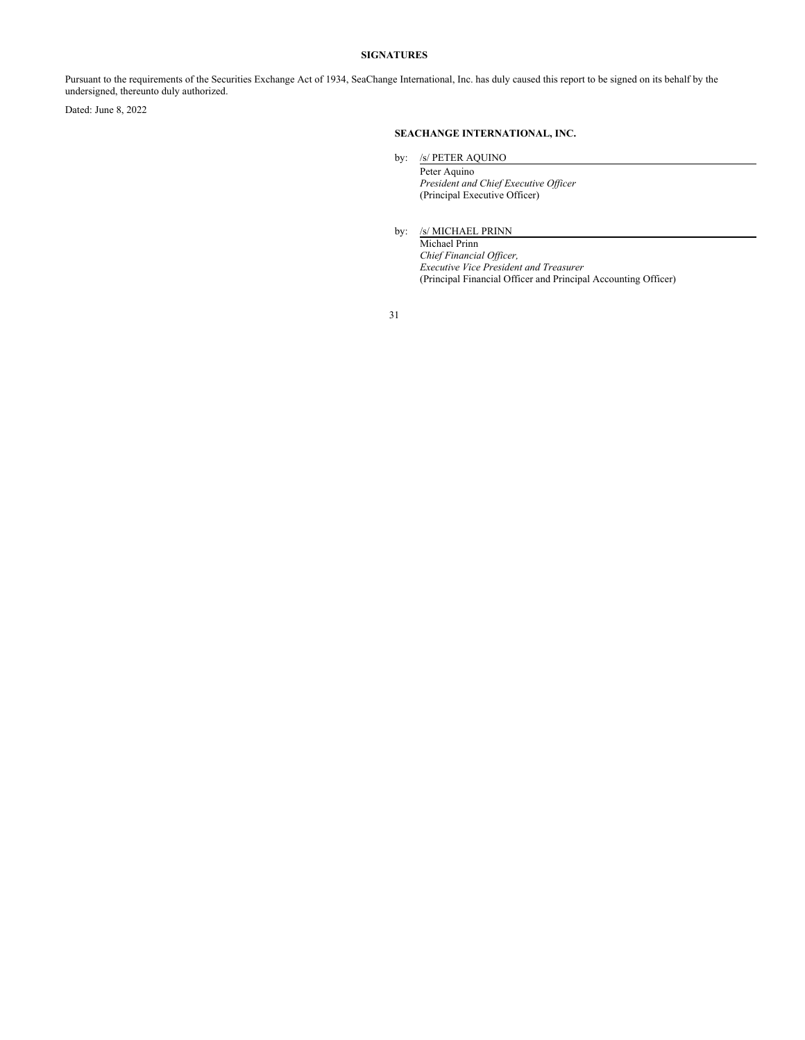### **SIGNATURES**

<span id="page-31-0"></span>Pursuant to the requirements of the Securities Exchange Act of 1934, SeaChange International, Inc. has duly caused this report to be signed on its behalf by the undersigned, thereunto duly authorized.

Dated: June 8, 2022

### **SEACHANGE INTERNATIONAL, INC.**

by: /s/ PETER AQUINO

Peter Aquino *President and Chief Executive Of icer* (Principal Executive Officer)

by: /s/ MICHAEL PRINN

Michael Prinn *Chief Financial Of icer, Executive Vice President and Treasurer* (Principal Financial Officer and Principal Accounting Officer)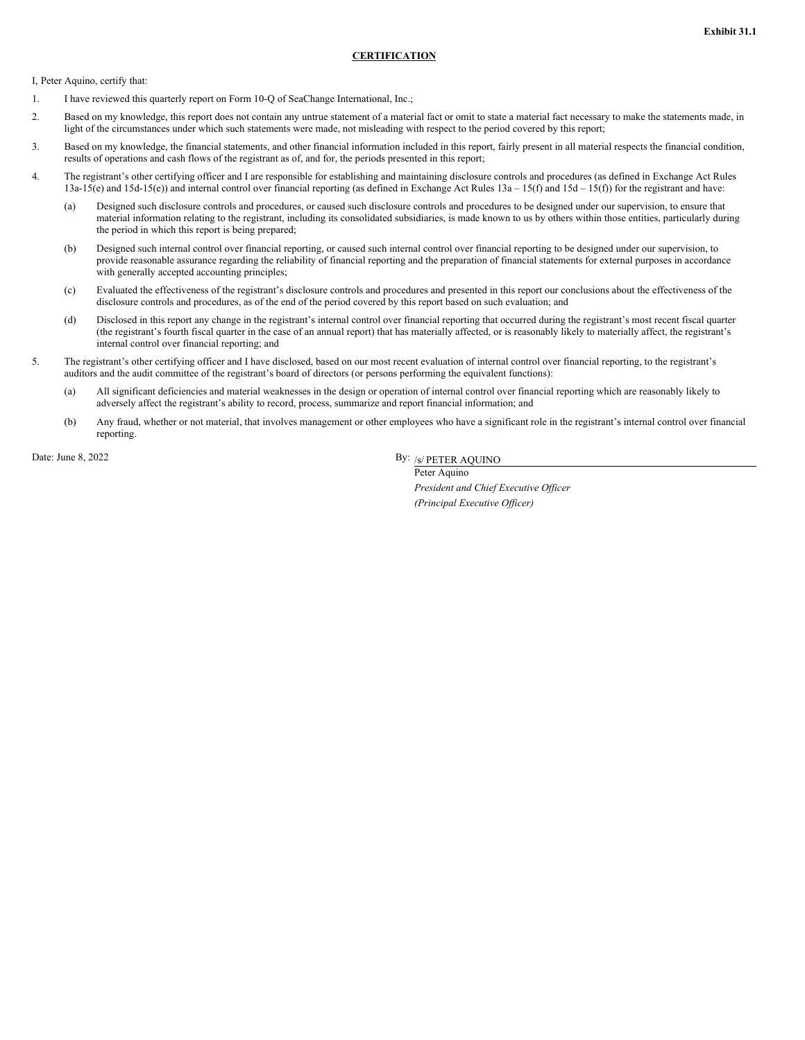### **CERTIFICATION**

<span id="page-32-0"></span>I, Peter Aquino, certify that:

- 1. I have reviewed this quarterly report on Form 10-Q of SeaChange International, Inc.;
- 2. Based on my knowledge, this report does not contain any untrue statement of a material fact or omit to state a material fact necessary to make the statements made, in light of the circumstances under which such statements were made, not misleading with respect to the period covered by this report;
- 3. Based on my knowledge, the financial statements, and other financial information included in this report, fairly present in all material respects the financial condition, results of operations and cash flows of the registrant as of, and for, the periods presented in this report;
- 4. The registrant's other certifying officer and I are responsible for establishing and maintaining disclosure controls and procedures (as defined in Exchange Act Rules 13a-15(e) and 15d-15(e)) and internal control over financial reporting (as defined in Exchange Act Rules 13a – 15(f) and 15d – 15(f)) for the registrant and have:
	- (a) Designed such disclosure controls and procedures, or caused such disclosure controls and procedures to be designed under our supervision, to ensure that material information relating to the registrant, including its consolidated subsidiaries, is made known to us by others within those entities, particularly during the period in which this report is being prepared;
	- (b) Designed such internal control over financial reporting, or caused such internal control over financial reporting to be designed under our supervision, to provide reasonable assurance regarding the reliability of financial reporting and the preparation of financial statements for external purposes in accordance with generally accepted accounting principles;
	- (c) Evaluated the effectiveness of the registrant's disclosure controls and procedures and presented in this report our conclusions about the effectiveness of the disclosure controls and procedures, as of the end of the period covered by this report based on such evaluation; and
	- (d) Disclosed in this report any change in the registrant's internal control over financial reporting that occurred during the registrant's most recent fiscal quarter (the registrant's fourth fiscal quarter in the case of an annual report) that has materially affected, or is reasonably likely to materially affect, the registrant's internal control over financial reporting; and
- 5. The registrant's other certifying officer and I have disclosed, based on our most recent evaluation of internal control over financial reporting, to the registrant's auditors and the audit committee of the registrant's board of directors (or persons performing the equivalent functions):
	- (a) All significant deficiencies and material weaknesses in the design or operation of internal control over financial reporting which are reasonably likely to adversely affect the registrant's ability to record, process, summarize and report financial information; and
	- (b) Any fraud, whether or not material, that involves management or other employees who have a significant role in the registrant's internal control over financial reporting.

Date: June 8, 2022

By: /s/ PETER AQUINO

Peter Aquino *President and Chief Executive Of icer (Principal Executive Of icer)*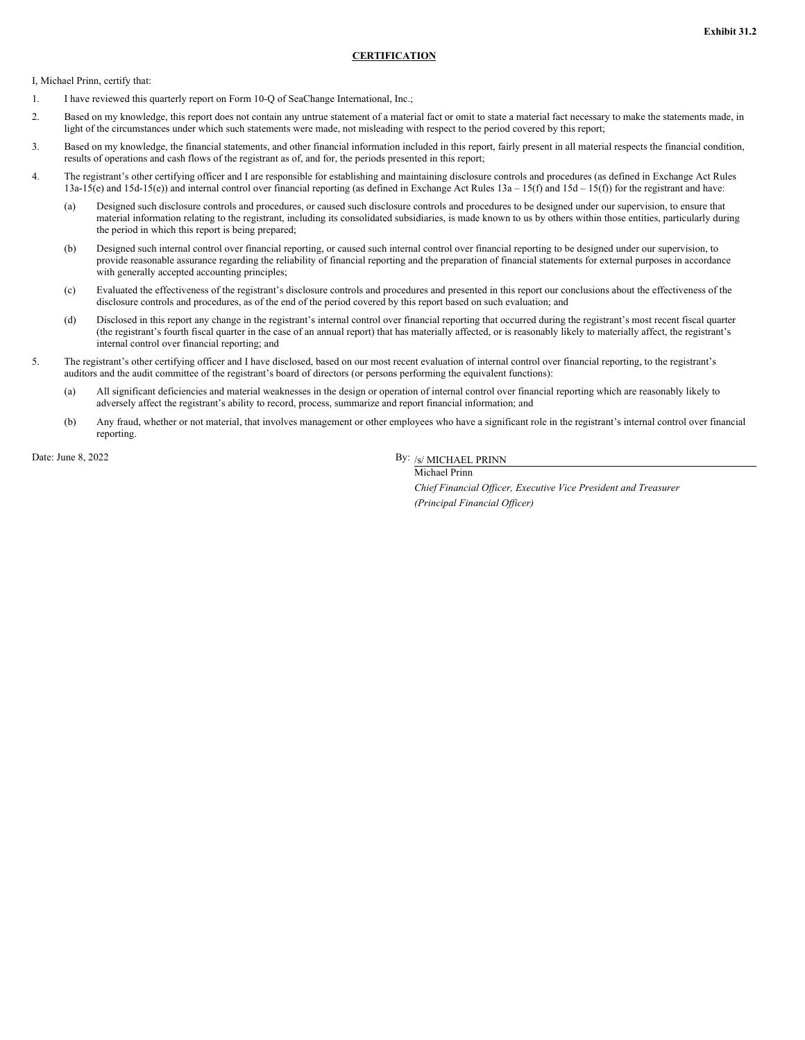### **CERTIFICATION**

<span id="page-33-0"></span>I, Michael Prinn, certify that:

- 1. I have reviewed this quarterly report on Form 10-Q of SeaChange International, Inc.;
- 2. Based on my knowledge, this report does not contain any untrue statement of a material fact or omit to state a material fact necessary to make the statements made, in light of the circumstances under which such statements were made, not misleading with respect to the period covered by this report;
- 3. Based on my knowledge, the financial statements, and other financial information included in this report, fairly present in all material respects the financial condition, results of operations and cash flows of the registrant as of, and for, the periods presented in this report;
- 4. The registrant's other certifying officer and I are responsible for establishing and maintaining disclosure controls and procedures (as defined in Exchange Act Rules 13a-15(e) and 15d-15(e)) and internal control over financial reporting (as defined in Exchange Act Rules 13a – 15(f) and 15d – 15(f)) for the registrant and have:
	- (a) Designed such disclosure controls and procedures, or caused such disclosure controls and procedures to be designed under our supervision, to ensure that material information relating to the registrant, including its consolidated subsidiaries, is made known to us by others within those entities, particularly during the period in which this report is being prepared;
	- (b) Designed such internal control over financial reporting, or caused such internal control over financial reporting to be designed under our supervision, to provide reasonable assurance regarding the reliability of financial reporting and the preparation of financial statements for external purposes in accordance with generally accepted accounting principles;
	- (c) Evaluated the effectiveness of the registrant's disclosure controls and procedures and presented in this report our conclusions about the effectiveness of the disclosure controls and procedures, as of the end of the period covered by this report based on such evaluation; and
	- (d) Disclosed in this report any change in the registrant's internal control over financial reporting that occurred during the registrant's most recent fiscal quarter (the registrant's fourth fiscal quarter in the case of an annual report) that has materially affected, or is reasonably likely to materially affect, the registrant's internal control over financial reporting; and
- 5. The registrant's other certifying officer and I have disclosed, based on our most recent evaluation of internal control over financial reporting, to the registrant's auditors and the audit committee of the registrant's board of directors (or persons performing the equivalent functions):
	- (a) All significant deficiencies and material weaknesses in the design or operation of internal control over financial reporting which are reasonably likely to adversely affect the registrant's ability to record, process, summarize and report financial information; and
	- (b) Any fraud, whether or not material, that involves management or other employees who have a significant role in the registrant's internal control over financial reporting.

Date: June 8, 2022

By: /s/ MICHAEL PRINN Michael Prinn

> *Chief Financial Of icer, Executive Vice President and Treasurer (Principal Financial Of icer)*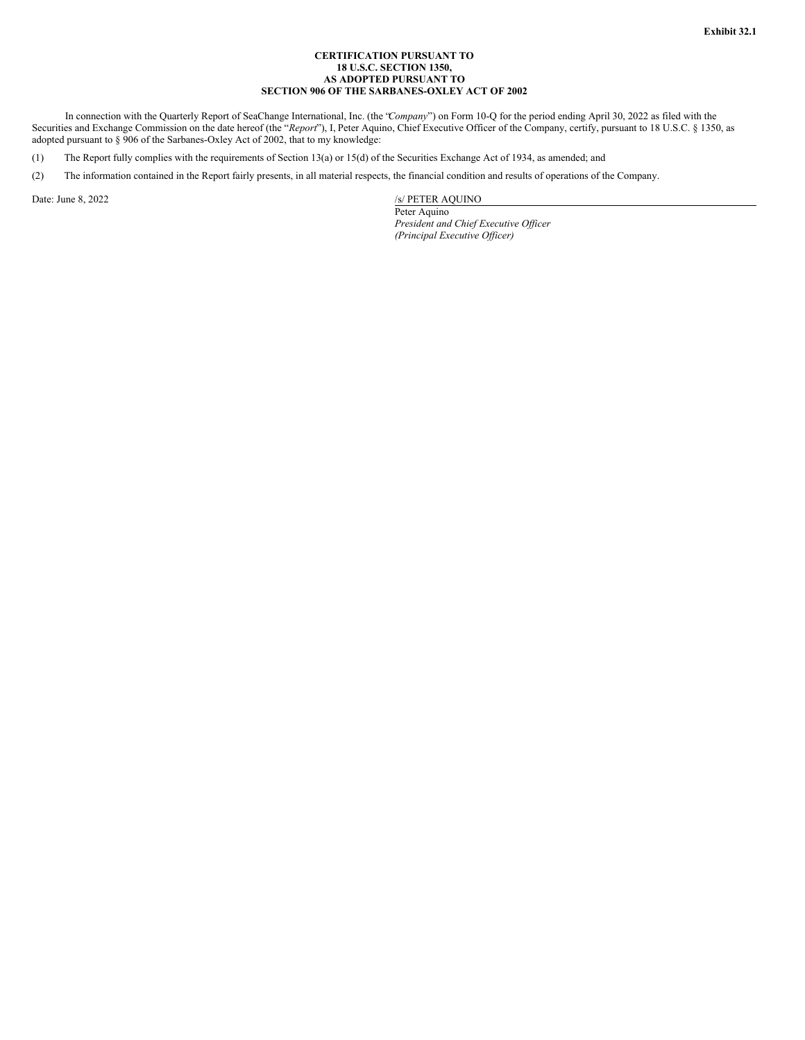### **CERTIFICATION PURSUANT TO 18 U.S.C. SECTION 1350, AS ADOPTED PURSUANT TO SECTION 906 OF THE SARBANES-OXLEY ACT OF 2002**

<span id="page-34-0"></span>In connection with the Quarterly Report of SeaChange International, Inc. (the "*Company*") on Form 10-Q for the period ending April 30, 2022 as filed with the Securities and Exchange Commission on the date hereof (the "*Report*"), I, Peter Aquino, Chief Executive Officer of the Company, certify, pursuant to 18 U.S.C. § 1350, as adopted pursuant to § 906 of the Sarbanes-Oxley Act of 2002, that to my knowledge:

(1) The Report fully complies with the requirements of Section 13(a) or 15(d) of the Securities Exchange Act of 1934, as amended; and

(2) The information contained in the Report fairly presents, in all material respects, the financial condition and results of operations of the Company.

Date: June 8, 2022 /s/ PETER AQUINO

Peter Aquino *President and Chief Executive Of icer (Principal Executive Of icer)*